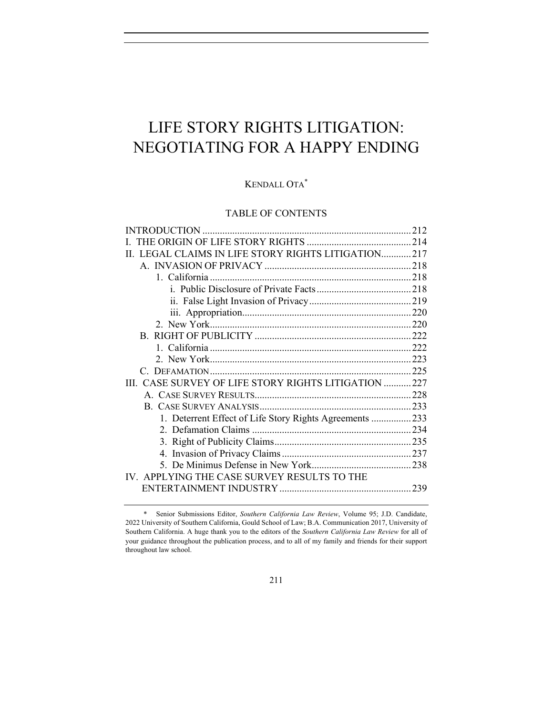# LIFE STORY RIGHTS LITIGATION: NEGOTIATING FOR A HAPPY ENDING

# KENDALL OTA\*

# TABLE OF CONTENTS

|                                                         | 212 |
|---------------------------------------------------------|-----|
|                                                         |     |
| II. LEGAL CLAIMS IN LIFE STORY RIGHTS LITIGATION217     |     |
|                                                         |     |
|                                                         |     |
|                                                         |     |
|                                                         |     |
|                                                         |     |
|                                                         |     |
|                                                         |     |
|                                                         |     |
|                                                         |     |
|                                                         |     |
| III. CASE SURVEY OF LIFE STORY RIGHTS LITIGATION 227    |     |
|                                                         |     |
|                                                         |     |
| 1. Deterrent Effect of Life Story Rights Agreements 233 |     |
|                                                         |     |
|                                                         |     |
|                                                         |     |
|                                                         |     |
| IV. APPLYING THE CASE SURVEY RESULTS TO THE             |     |
|                                                         |     |
|                                                         |     |

<sup>\*</sup> Senior Submissions Editor, *Southern California Law Review*, Volume 95; J.D. Candidate, 2022 University of Southern California, Gould School of Law; B.A. Communication 2017, University of Southern California. A huge thank you to the editors of the *Southern California Law Review* for all of your guidance throughout the publication process, and to all of my family and friends for their support throughout law school.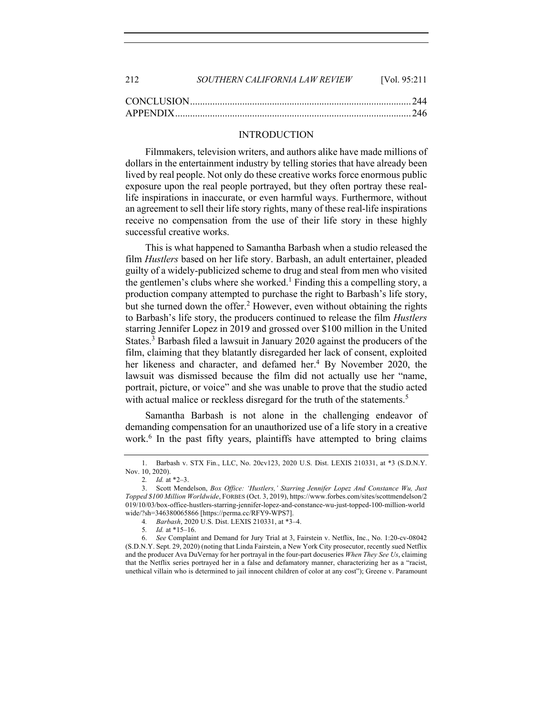| 2.12 | SOUTHERN CALIFORNIA LAW REVIEW | <b>IVol.</b> 95:211 |
|------|--------------------------------|---------------------|
|      |                                |                     |
|      |                                |                     |

#### INTRODUCTION

Filmmakers, television writers, and authors alike have made millions of dollars in the entertainment industry by telling stories that have already been lived by real people. Not only do these creative works force enormous public exposure upon the real people portrayed, but they often portray these reallife inspirations in inaccurate, or even harmful ways. Furthermore, without an agreement to sell their life story rights, many of these real-life inspirations receive no compensation from the use of their life story in these highly successful creative works.

This is what happened to Samantha Barbash when a studio released the film *Hustlers* based on her life story. Barbash, an adult entertainer, pleaded guilty of a widely-publicized scheme to drug and steal from men who visited the gentlemen's clubs where she worked.<sup>1</sup> Finding this a compelling story, a production company attempted to purchase the right to Barbash's life story, but she turned down the offer.<sup>2</sup> However, even without obtaining the rights to Barbash's life story, the producers continued to release the film *Hustlers* starring Jennifer Lopez in 2019 and grossed over \$100 million in the United States.<sup>3</sup> Barbash filed a lawsuit in January 2020 against the producers of the film, claiming that they blatantly disregarded her lack of consent, exploited her likeness and character, and defamed her.<sup>4</sup> By November 2020, the lawsuit was dismissed because the film did not actually use her "name, portrait, picture, or voice" and she was unable to prove that the studio acted with actual malice or reckless disregard for the truth of the statements.<sup>5</sup>

Samantha Barbash is not alone in the challenging endeavor of demanding compensation for an unauthorized use of a life story in a creative work.<sup>6</sup> In the past fifty years, plaintiffs have attempted to bring claims

<sup>1.</sup> Barbash v. STX Fin., LLC, No. 20cv123, 2020 U.S. Dist. LEXIS 210331, at \*3 (S.D.N.Y. Nov. 10, 2020).

<sup>2</sup>*. Id.* at \*2–3.

<sup>3.</sup> Scott Mendelson, *Box Office: 'Hustlers,' Starring Jennifer Lopez And Constance Wu, Just Topped \$100 Million Worldwide*, FORBES (Oct. 3, 2019), https://www.forbes.com/sites/scottmendelson/2 019/10/03/box-office-hustlers-starring-jennifer-lopez-and-constance-wu-just-topped-100-million-world wide/?sh=346380065866 [https://perma.cc/RFY9-WPS7].

<sup>4</sup>*. Barbash*, 2020 U.S. Dist. LEXIS 210331, at \*3–4.

<sup>5</sup>*. Id.* at \*15–16.

<sup>6.</sup> *See* Complaint and Demand for Jury Trial at 3, Fairstein v. Netflix, Inc., No. 1:20-cv-08042 (S.D.N.Y. Sept. 29, 2020) (noting that Linda Fairstein, a New York City prosecutor, recently sued Netflix and the producer Ava DuVernay for her portrayal in the four-part docuseries *When They See Us*, claiming that the Netflix series portrayed her in a false and defamatory manner, characterizing her as a "racist, unethical villain who is determined to jail innocent children of color at any cost"); Greene v. Paramount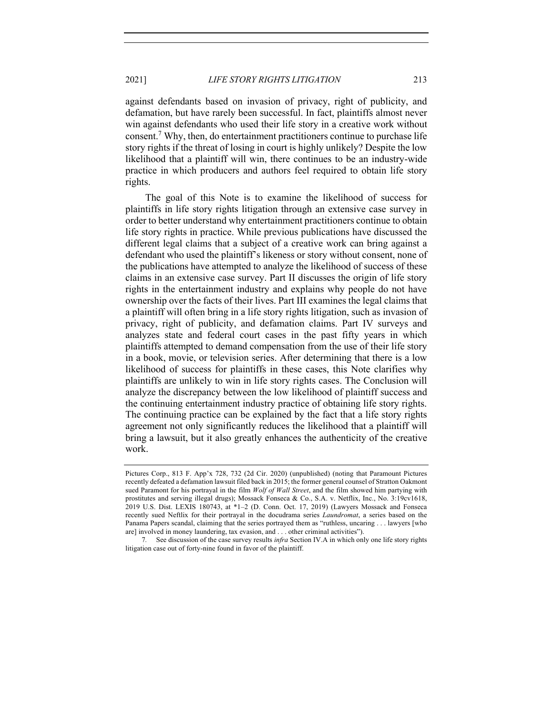against defendants based on invasion of privacy, right of publicity, and defamation, but have rarely been successful. In fact, plaintiffs almost never win against defendants who used their life story in a creative work without consent.<sup>7</sup> Why, then, do entertainment practitioners continue to purchase life story rights if the threat of losing in court is highly unlikely? Despite the low likelihood that a plaintiff will win, there continues to be an industry-wide practice in which producers and authors feel required to obtain life story rights.

The goal of this Note is to examine the likelihood of success for plaintiffs in life story rights litigation through an extensive case survey in order to better understand why entertainment practitioners continue to obtain life story rights in practice. While previous publications have discussed the different legal claims that a subject of a creative work can bring against a defendant who used the plaintiff's likeness or story without consent, none of the publications have attempted to analyze the likelihood of success of these claims in an extensive case survey. Part II discusses the origin of life story rights in the entertainment industry and explains why people do not have ownership over the facts of their lives. Part III examines the legal claims that a plaintiff will often bring in a life story rights litigation, such as invasion of privacy, right of publicity, and defamation claims. Part IV surveys and analyzes state and federal court cases in the past fifty years in which plaintiffs attempted to demand compensation from the use of their life story in a book, movie, or television series. After determining that there is a low likelihood of success for plaintiffs in these cases, this Note clarifies why plaintiffs are unlikely to win in life story rights cases. The Conclusion will analyze the discrepancy between the low likelihood of plaintiff success and the continuing entertainment industry practice of obtaining life story rights. The continuing practice can be explained by the fact that a life story rights agreement not only significantly reduces the likelihood that a plaintiff will bring a lawsuit, but it also greatly enhances the authenticity of the creative work.

Pictures Corp., 813 F. App'x 728, 732 (2d Cir. 2020) (unpublished) (noting that Paramount Pictures recently defeated a defamation lawsuit filed back in 2015; the former general counsel of Stratton Oakmont sued Paramont for his portrayal in the film *Wolf of Wall Street*, and the film showed him partying with prostitutes and serving illegal drugs); Mossack Fonseca & Co., S.A. v. Netflix, Inc., No. 3:19cv1618, 2019 U.S. Dist. LEXIS 180743, at \*1–2 (D. Conn. Oct. 17, 2019) (Lawyers Mossack and Fonseca recently sued Neftlix for their portrayal in the docudrama series *Laundromat*, a series based on the Panama Papers scandal, claiming that the series portrayed them as "ruthless, uncaring . . . lawyers [who are] involved in money laundering, tax evasion, and . . . other criminal activities").

<sup>7</sup>*.* See discussion of the case survey results *infra* Section IV.A in which only one life story rights litigation case out of forty-nine found in favor of the plaintiff.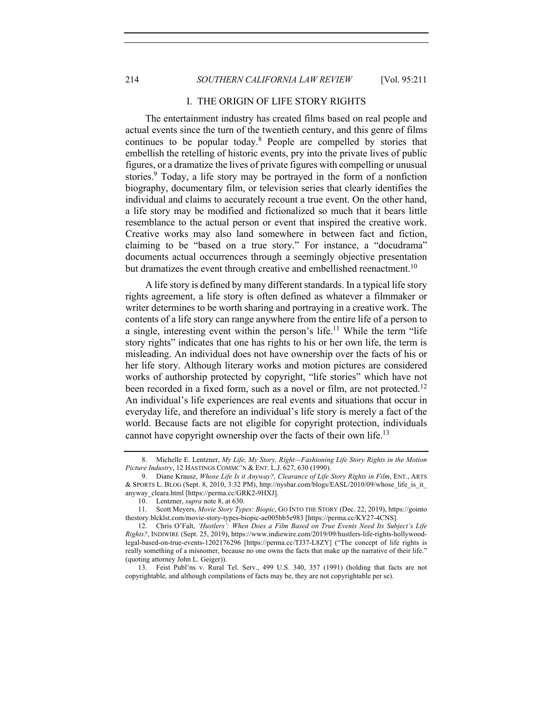#### I. THE ORIGIN OF LIFE STORY RIGHTS

The entertainment industry has created films based on real people and actual events since the turn of the twentieth century, and this genre of films continues to be popular today.<sup>8</sup> People are compelled by stories that embellish the retelling of historic events, pry into the private lives of public figures, or a dramatize the lives of private figures with compelling or unusual stories.<sup>9</sup> Today, a life story may be portrayed in the form of a nonfiction biography, documentary film, or television series that clearly identifies the individual and claims to accurately recount a true event. On the other hand, a life story may be modified and fictionalized so much that it bears little resemblance to the actual person or event that inspired the creative work. Creative works may also land somewhere in between fact and fiction, claiming to be "based on a true story." For instance, a "docudrama" documents actual occurrences through a seemingly objective presentation but dramatizes the event through creative and embellished reenactment.<sup>10</sup>

A life story is defined by many different standards. In a typical life story rights agreement, a life story is often defined as whatever a filmmaker or writer determines to be worth sharing and portraying in a creative work. The contents of a life story can range anywhere from the entire life of a person to a single, interesting event within the person's life.<sup>11</sup> While the term "life" story rights" indicates that one has rights to his or her own life, the term is misleading. An individual does not have ownership over the facts of his or her life story. Although literary works and motion pictures are considered works of authorship protected by copyright, "life stories" which have not been recorded in a fixed form, such as a novel or film, are not protected.<sup>12</sup> An individual's life experiences are real events and situations that occur in everyday life, and therefore an individual's life story is merely a fact of the world. Because facts are not eligible for copyright protection, individuals cannot have copyright ownership over the facts of their own life.<sup>13</sup>

<sup>8.</sup> Michelle E. Lentzner, *My Life, My Story, Right—Fashioning Life Story Rights in the Motion Picture Industry*, 12 HASTINGS COMMC'N & ENT. L.J. 627, 630 (1990).

<sup>9.</sup> Diane Krausz, *Whose Life Is it Anyway?, Clearance of Life Story Rights in Film*, ENT., ARTS & SPORTS L. BLOG (Sept. 8, 2010, 3:32 PM), http://nysbar.com/blogs/EASL/2010/09/whose\_life\_is\_it\_ anyway\_cleara.html [https://perma.cc/GRK2-9HXJ].

<sup>10.</sup> Lentzner, *supra* note 8, at 630.

<sup>11.</sup> Scott Meyers, *Movie Story Types: Biopic*, GO INTO THE STORY (Dec. 22, 2019), https://gointo thestory.blcklst.com/movie-story-types-biopic-ae005bb5e983 [https://perma.cc/KY27-4CNS].

<sup>12.</sup> Chris O'Falt, *'Hustlers': When Does a Film Based on True Events Need Its Subject's Life Rights?*, INDIWIRE (Sept. 25, 2019), https://www.indiewire.com/2019/09/hustlers-life-rights-hollywoodlegal-based-on-true-events-1202176296 [https://perma.cc/TJ37-L8ZY] ("The concept of life rights is really something of a misnomer, because no one owns the facts that make up the narrative of their life." (quoting attorney John L. Geiger)).

<sup>13.</sup> Feist Publ'ns v. Rural Tel. Serv., 499 U.S. 340, 357 (1991) (holding that facts are not copyrightable, and although compilations of facts may be, they are not copyrightable per se).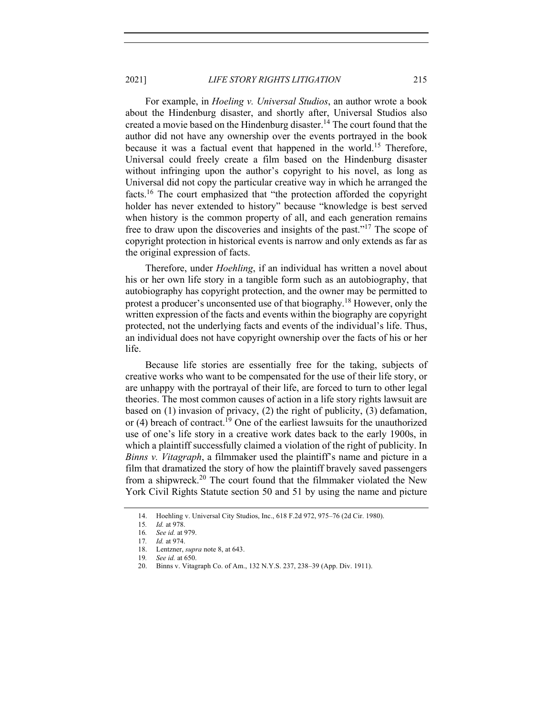2021] *LIFE STORY RIGHTS LITIGATION* 215

For example, in *Hoeling v. Universal Studios*, an author wrote a book about the Hindenburg disaster, and shortly after, Universal Studios also created a movie based on the Hindenburg disaster.<sup>14</sup> The court found that the author did not have any ownership over the events portrayed in the book because it was a factual event that happened in the world.<sup>15</sup> Therefore, Universal could freely create a film based on the Hindenburg disaster without infringing upon the author's copyright to his novel, as long as Universal did not copy the particular creative way in which he arranged the facts.<sup>16</sup> The court emphasized that "the protection afforded the copyright holder has never extended to history" because "knowledge is best served when history is the common property of all, and each generation remains free to draw upon the discoveries and insights of the past."17 The scope of copyright protection in historical events is narrow and only extends as far as the original expression of facts.

Therefore, under *Hoehling*, if an individual has written a novel about his or her own life story in a tangible form such as an autobiography, that autobiography has copyright protection, and the owner may be permitted to protest a producer's unconsented use of that biography.<sup>18</sup> However, only the written expression of the facts and events within the biography are copyright protected, not the underlying facts and events of the individual's life. Thus, an individual does not have copyright ownership over the facts of his or her life.

Because life stories are essentially free for the taking, subjects of creative works who want to be compensated for the use of their life story, or are unhappy with the portrayal of their life, are forced to turn to other legal theories. The most common causes of action in a life story rights lawsuit are based on (1) invasion of privacy, (2) the right of publicity, (3) defamation, or  $(4)$  breach of contract.<sup>19</sup> One of the earliest lawsuits for the unauthorized use of one's life story in a creative work dates back to the early 1900s, in which a plaintiff successfully claimed a violation of the right of publicity. In *Binns v. Vitagraph*, a filmmaker used the plaintiff's name and picture in a film that dramatized the story of how the plaintiff bravely saved passengers from a shipwreck.<sup>20</sup> The court found that the filmmaker violated the New York Civil Rights Statute section 50 and 51 by using the name and picture

<sup>14.</sup> Hoehling v. Universal City Studios, Inc., 618 F.2d 972, 975–76 (2d Cir. 1980).

<sup>15</sup>*. Id.* at 978.

<sup>16</sup>*. See id.* at 979.

<sup>17</sup>*. Id.* at 974.

<sup>18.</sup> Lentzner, *supra* note 8, at 643.

<sup>19</sup>*. See id.* at 650.

<sup>20.</sup> Binns v. Vitagraph Co. of Am., 132 N.Y.S. 237, 238–39 (App. Div. 1911).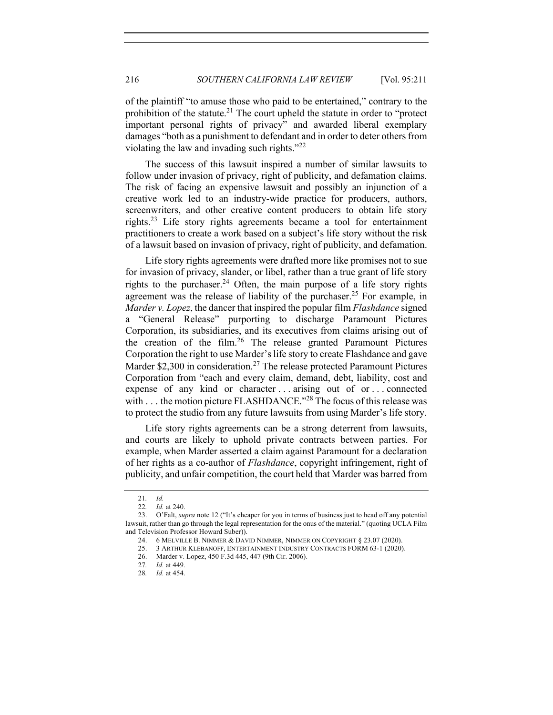of the plaintiff "to amuse those who paid to be entertained," contrary to the prohibition of the statute.<sup>21</sup> The court upheld the statute in order to "protect" important personal rights of privacy" and awarded liberal exemplary damages "both as a punishment to defendant and in order to deter others from violating the law and invading such rights."<sup>22</sup>

The success of this lawsuit inspired a number of similar lawsuits to follow under invasion of privacy, right of publicity, and defamation claims. The risk of facing an expensive lawsuit and possibly an injunction of a creative work led to an industry-wide practice for producers, authors, screenwriters, and other creative content producers to obtain life story rights.<sup>23</sup> Life story rights agreements became a tool for entertainment practitioners to create a work based on a subject's life story without the risk of a lawsuit based on invasion of privacy, right of publicity, and defamation.

Life story rights agreements were drafted more like promises not to sue for invasion of privacy, slander, or libel, rather than a true grant of life story rights to the purchaser.<sup>24</sup> Often, the main purpose of a life story rights agreement was the release of liability of the purchaser.<sup>25</sup> For example, in *Marder v. Lopez*, the dancer that inspired the popular film *Flashdance* signed a "General Release" purporting to discharge Paramount Pictures Corporation, its subsidiaries, and its executives from claims arising out of the creation of the film.<sup>26</sup> The release granted Paramount Pictures Corporation the right to use Marder's life story to create Flashdance and gave Marder \$2,300 in consideration.<sup>27</sup> The release protected Paramount Pictures Corporation from "each and every claim, demand, debt, liability, cost and expense of any kind or character ... arising out of or ... connected with . . . the motion picture FLASHDANCE."<sup>28</sup> The focus of this release was to protect the studio from any future lawsuits from using Marder's life story.

Life story rights agreements can be a strong deterrent from lawsuits, and courts are likely to uphold private contracts between parties. For example, when Marder asserted a claim against Paramount for a declaration of her rights as a co-author of *Flashdance*, copyright infringement, right of publicity, and unfair competition, the court held that Marder was barred from

<sup>21</sup>*. Id.*

<sup>22</sup>*. Id.* at 240.

<sup>23.</sup> O'Falt, *supra* note 12 ("It's cheaper for you in terms of business just to head off any potential lawsuit, rather than go through the legal representation for the onus of the material." (quoting UCLA Film and Television Professor Howard Suber)).

<sup>24.</sup> 6 MELVILLE B. NIMMER & DAVID NIMMER, NIMMER ON COPYRIGHT § 23.07 (2020).

<sup>25.</sup> 3 ARTHUR KLEBANOFF, ENTERTAINMENT INDUSTRY CONTRACTS FORM 63-1 (2020).

<sup>26.</sup> Marder v. Lopez, 450 F.3d 445, 447 (9th Cir. 2006).

<sup>27</sup>*. Id.* at 449.

<sup>28</sup>*. Id.* at 454.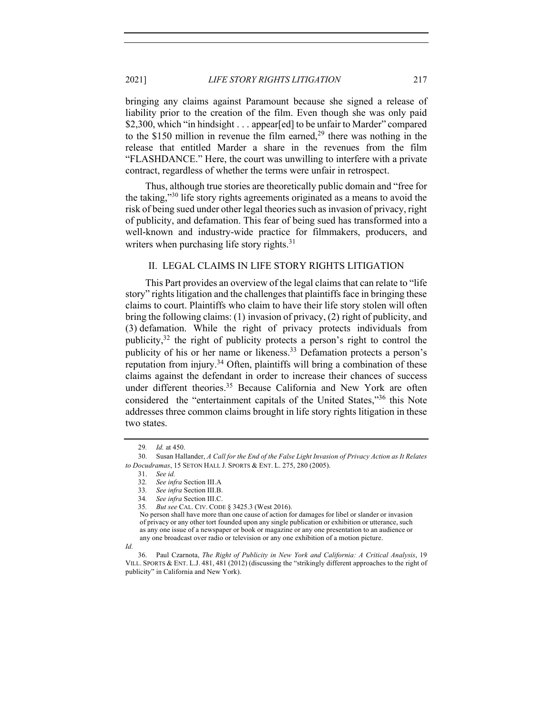2021] *LIFE STORY RIGHTS LITIGATION* 217

bringing any claims against Paramount because she signed a release of liability prior to the creation of the film. Even though she was only paid \$2,300, which "in hindsight . . . appear[ed] to be unfair to Marder" compared to the \$150 million in revenue the film earned,  $2<sup>9</sup>$  there was nothing in the release that entitled Marder a share in the revenues from the film "FLASHDANCE." Here, the court was unwilling to interfere with a private contract, regardless of whether the terms were unfair in retrospect.

Thus, although true stories are theoretically public domain and "free for the taking,"<sup>30</sup> life story rights agreements originated as a means to avoid the risk of being sued under other legal theories such as invasion of privacy, right of publicity, and defamation. This fear of being sued has transformed into a well-known and industry-wide practice for filmmakers, producers, and writers when purchasing life story rights. $31$ 

# II. LEGAL CLAIMS IN LIFE STORY RIGHTS LITIGATION

This Part provides an overview of the legal claims that can relate to "life story" rights litigation and the challenges that plaintiffs face in bringing these claims to court. Plaintiffs who claim to have their life story stolen will often bring the following claims: (1) invasion of privacy, (2) right of publicity, and (3) defamation. While the right of privacy protects individuals from publicity,  $32$  the right of publicity protects a person's right to control the publicity of his or her name or likeness.<sup>33</sup> Defamation protects a person's reputation from injury.<sup>34</sup> Often, plaintiffs will bring a combination of these claims against the defendant in order to increase their chances of success under different theories.<sup>35</sup> Because California and New York are often considered the "entertainment capitals of the United States,"<sup>36</sup> this Note addresses three common claims brought in life story rights litigation in these two states.

<sup>29</sup>*. Id.* at 450.

<sup>30.</sup> Susan Hallander, *A Call for the End of the False Light Invasion of Privacy Action as It Relates to Docudramas*, 15 SETON HALL J. SPORTS & ENT. L. 275, 280 (2005).

<sup>31.</sup> *See id.*

<sup>32</sup>*. See infra* Section III.A

<sup>33</sup>*. See infra* Section III.B. 34*. See infra* Section III.C.

<sup>35</sup>*. But see* CAL. CIV. CODE § 3425.3 (West 2016).

No person shall have more than one cause of action for damages for libel or slander or invasion of privacy or any other tort founded upon any single publication or exhibition or utterance, such as any one issue of a newspaper or book or magazine or any one presentation to an audience or any one broadcast over radio or television or any one exhibition of a motion picture.

*Id.*

<sup>36.</sup> Paul Czarnota, *The Right of Publicity in New York and California: A Critical Analysis*, 19 VILL. SPORTS & ENT. L.J. 481, 481 (2012) (discussing the "strikingly different approaches to the right of publicity" in California and New York).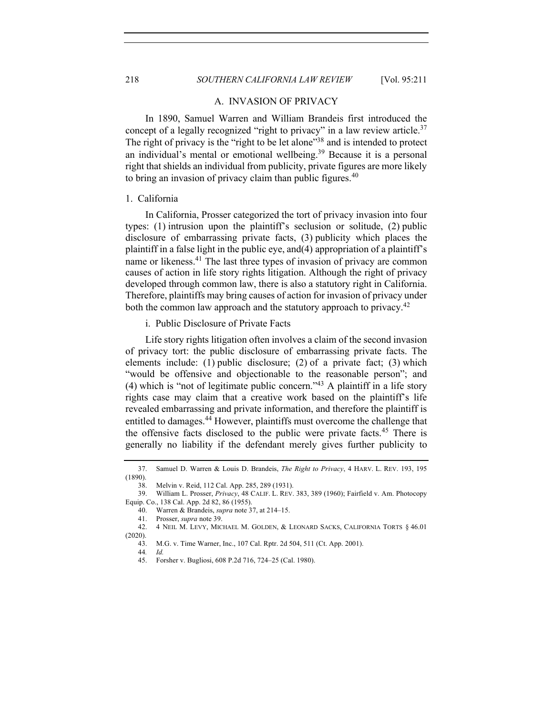#### A. INVASION OF PRIVACY

In 1890, Samuel Warren and William Brandeis first introduced the concept of a legally recognized "right to privacy" in a law review article.<sup>37</sup> The right of privacy is the "right to be let alone"<sup>38</sup> and is intended to protect an individual's mental or emotional wellbeing.<sup>39</sup> Because it is a personal right that shields an individual from publicity, private figures are more likely to bring an invasion of privacy claim than public figures.  $40$ 

# 1. California

In California, Prosser categorized the tort of privacy invasion into four types: (1) intrusion upon the plaintiff's seclusion or solitude, (2) public disclosure of embarrassing private facts, (3) publicity which places the plaintiff in a false light in the public eye, and(4) appropriation of a plaintiff's name or likeness.<sup>41</sup> The last three types of invasion of privacy are common causes of action in life story rights litigation. Although the right of privacy developed through common law, there is also a statutory right in California. Therefore, plaintiffs may bring causes of action for invasion of privacy under both the common law approach and the statutory approach to privacy.<sup>42</sup>

i. Public Disclosure of Private Facts

Life story rights litigation often involves a claim of the second invasion of privacy tort: the public disclosure of embarrassing private facts. The elements include: (1) public disclosure; (2) of a private fact; (3) which "would be offensive and objectionable to the reasonable person"; and (4) which is "not of legitimate public concern."<sup>43</sup> A plaintiff in a life story rights case may claim that a creative work based on the plaintiff's life revealed embarrassing and private information, and therefore the plaintiff is entitled to damages.<sup>44</sup> However, plaintiffs must overcome the challenge that the offensive facts disclosed to the public were private facts.<sup>45</sup> There is generally no liability if the defendant merely gives further publicity to

<sup>37.</sup> Samuel D. Warren & Louis D. Brandeis, *The Right to Privacy*, 4 HARV. L. REV. 193, 195 (1890).

<sup>38.</sup> Melvin v. Reid, 112 Cal. App. 285, 289 (1931).

<sup>39.</sup> William L. Prosser, *Privacy*, 48 CALIF. L. REV. 383, 389 (1960); Fairfield v. Am. Photocopy Equip. Co., 138 Cal. App. 2d 82, 86 (1955).

<sup>40.</sup> Warren & Brandeis, *supra* note 37, at 214–15.

<sup>41.</sup> Prosser, *supra* note 39.

<sup>42.</sup> 4 NEIL M. LEVY, MICHAEL M. GOLDEN, & LEONARD SACKS, CALIFORNIA TORTS § 46.01 (2020).

<sup>43.</sup> M.G. v. Time Warner, Inc., 107 Cal. Rptr. 2d 504, 511 (Ct. App. 2001).

<sup>44</sup>*. Id.*

<sup>45.</sup> Forsher v. Bugliosi, 608 P.2d 716, 724–25 (Cal. 1980).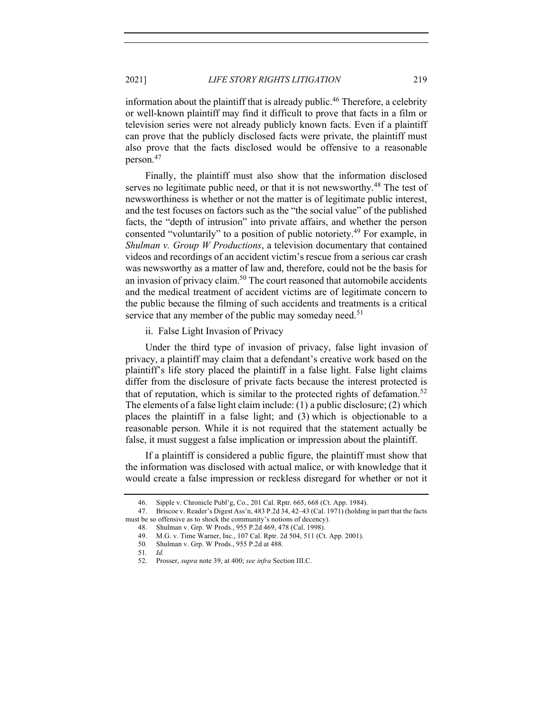information about the plaintiff that is already public.<sup>46</sup> Therefore, a celebrity or well-known plaintiff may find it difficult to prove that facts in a film or television series were not already publicly known facts. Even if a plaintiff can prove that the publicly disclosed facts were private, the plaintiff must also prove that the facts disclosed would be offensive to a reasonable person.<sup>47</sup>

Finally, the plaintiff must also show that the information disclosed serves no legitimate public need, or that it is not newsworthy.<sup>48</sup> The test of newsworthiness is whether or not the matter is of legitimate public interest, and the test focuses on factors such as the "the social value" of the published facts, the "depth of intrusion" into private affairs, and whether the person consented "voluntarily" to a position of public notoriety.<sup>49</sup> For example, in *Shulman v. Group W Productions*, a television documentary that contained videos and recordings of an accident victim's rescue from a serious car crash was newsworthy as a matter of law and, therefore, could not be the basis for an invasion of privacy claim.<sup>50</sup> The court reasoned that automobile accidents and the medical treatment of accident victims are of legitimate concern to the public because the filming of such accidents and treatments is a critical service that any member of the public may someday need.<sup>51</sup>

ii. False Light Invasion of Privacy

Under the third type of invasion of privacy, false light invasion of privacy, a plaintiff may claim that a defendant's creative work based on the plaintiff's life story placed the plaintiff in a false light. False light claims differ from the disclosure of private facts because the interest protected is that of reputation, which is similar to the protected rights of defamation.<sup>52</sup> The elements of a false light claim include: (1) a public disclosure; (2) which places the plaintiff in a false light; and (3) which is objectionable to a reasonable person. While it is not required that the statement actually be false, it must suggest a false implication or impression about the plaintiff.

If a plaintiff is considered a public figure, the plaintiff must show that the information was disclosed with actual malice, or with knowledge that it would create a false impression or reckless disregard for whether or not it

<sup>46.</sup> Sipple v. Chronicle Publ'g, Co., 201 Cal. Rptr. 665, 668 (Ct. App. 1984).

<sup>47.</sup> Briscoe v. Reader's Digest Ass'n, 483 P.2d 34, 42–43 (Cal. 1971) (holding in part that the facts must be so offensive as to shock the community's notions of decency).

<sup>48.</sup> Shulman v. Grp. W Prods., 955 P.2d 469, 478 (Cal. 1998).

<sup>49.</sup> M.G. v. Time Warner, Inc., 107 Cal. Rptr. 2d 504, 511 (Ct. App. 2001).

<sup>50</sup>*.* Shulman v. Grp. W Prods., 955 P.2d at 488.

<sup>51</sup>*. Id.*

<sup>52.</sup> Prosser, *supra* note 39, at 400; *see infra* Section III.C.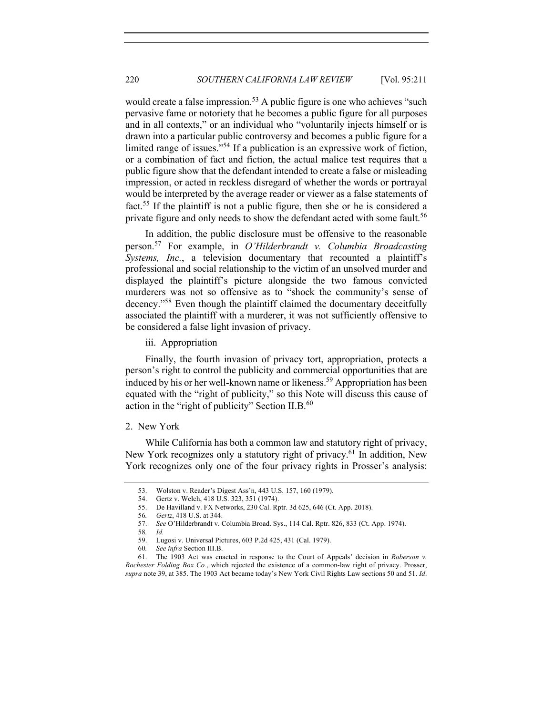would create a false impression.<sup>53</sup> A public figure is one who achieves "such pervasive fame or notoriety that he becomes a public figure for all purposes and in all contexts," or an individual who "voluntarily injects himself or is drawn into a particular public controversy and becomes a public figure for a limited range of issues."54 If a publication is an expressive work of fiction, or a combination of fact and fiction, the actual malice test requires that a public figure show that the defendant intended to create a false or misleading impression, or acted in reckless disregard of whether the words or portrayal would be interpreted by the average reader or viewer as a false statements of fact.55 If the plaintiff is not a public figure, then she or he is considered a private figure and only needs to show the defendant acted with some fault.<sup>56</sup>

In addition, the public disclosure must be offensive to the reasonable person.<sup>57</sup> For example, in *O'Hilderbrandt v. Columbia Broadcasting Systems, Inc.*, a television documentary that recounted a plaintiff's professional and social relationship to the victim of an unsolved murder and displayed the plaintiff's picture alongside the two famous convicted murderers was not so offensive as to "shock the community's sense of decency."58 Even though the plaintiff claimed the documentary deceitfully associated the plaintiff with a murderer, it was not sufficiently offensive to be considered a false light invasion of privacy.

iii. Appropriation

Finally, the fourth invasion of privacy tort, appropriation, protects a person's right to control the publicity and commercial opportunities that are induced by his or her well-known name or likeness.<sup>59</sup> Appropriation has been equated with the "right of publicity," so this Note will discuss this cause of action in the "right of publicity" Section II.B.<sup>60</sup>

# 2. New York

While California has both a common law and statutory right of privacy, New York recognizes only a statutory right of privacy.<sup>61</sup> In addition, New York recognizes only one of the four privacy rights in Prosser's analysis:

<sup>53.</sup> Wolston v. Reader's Digest Ass'n, 443 U.S. 157, 160 (1979).

<sup>54.</sup> Gertz v. Welch, 418 U.S. 323, 351 (1974).

<sup>55.</sup> De Havilland v. FX Networks, 230 Cal. Rptr. 3d 625, 646 (Ct. App. 2018).

<sup>56</sup>*. Gertz*, 418 U.S. at 344.

<sup>57.</sup> *See* O'Hilderbrandt v. Columbia Broad. Sys., 114 Cal. Rptr. 826, 833 (Ct. App. 1974).

<sup>58</sup>*. Id.*

<sup>59.</sup> Lugosi v. Universal Pictures, 603 P.2d 425, 431 (Cal. 1979).

<sup>60</sup>*. See infra* Section III.B.

<sup>61.</sup> The 1903 Act was enacted in response to the Court of Appeals' decision in *Roberson v. Rochester Folding Box Co.*, which rejected the existence of a common-law right of privacy. Prosser, *supra* note 39, at 385. The 1903 Act became today's New York Civil Rights Law sections 50 and 51. *Id*.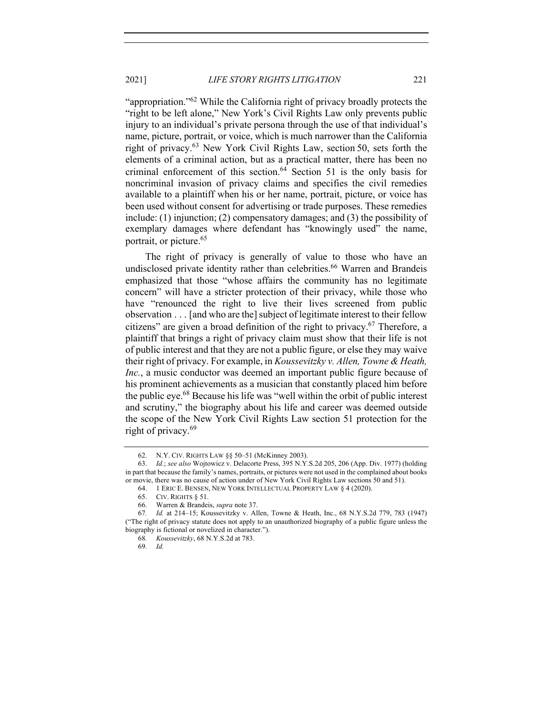2021] *LIFE STORY RIGHTS LITIGATION* 221

"appropriation."62 While the California right of privacy broadly protects the "right to be left alone," New York's Civil Rights Law only prevents public injury to an individual's private persona through the use of that individual's name, picture, portrait, or voice, which is much narrower than the California right of privacy.63 New York Civil Rights Law, section 50, sets forth the elements of a criminal action, but as a practical matter, there has been no criminal enforcement of this section.<sup>64</sup> Section 51 is the only basis for noncriminal invasion of privacy claims and specifies the civil remedies available to a plaintiff when his or her name, portrait, picture, or voice has been used without consent for advertising or trade purposes. These remedies include: (1) injunction; (2) compensatory damages; and (3) the possibility of exemplary damages where defendant has "knowingly used" the name, portrait, or picture.<sup>65</sup>

The right of privacy is generally of value to those who have an undisclosed private identity rather than celebrities.<sup>66</sup> Warren and Brandeis emphasized that those "whose affairs the community has no legitimate concern" will have a stricter protection of their privacy, while those who have "renounced the right to live their lives screened from public observation  $\ldots$  [and who are the] subject of legitimate interest to their fellow citizens" are given a broad definition of the right to privacy.<sup>67</sup> Therefore, a plaintiff that brings a right of privacy claim must show that their life is not of public interest and that they are not a public figure, or else they may waive their right of privacy. For example, in *Koussevitzky v. Allen, Towne & Heath, Inc.*, a music conductor was deemed an important public figure because of his prominent achievements as a musician that constantly placed him before the public eye.68 Because his life was "well within the orbit of public interest and scrutiny," the biography about his life and career was deemed outside the scope of the New York Civil Rights Law section 51 protection for the right of privacy.<sup>69</sup>

68*. Koussevitzky*, 68 N.Y.S.2d at 783.

<sup>62.</sup> N.Y. CIV. RIGHTS LAW §§ 50–51 (McKinney 2003).

<sup>63.</sup> *Id.*; *see also* Wojtowicz v. Delacorte Press, 395 N.Y.S.2d 205, 206 (App. Div. 1977) (holding in part that because the family's names, portraits, or pictures were not used in the complained about books or movie, there was no cause of action under of New York Civil Rights Law sections 50 and 51).

<sup>64.</sup> 1 ERIC E. BENSEN, NEW YORK INTELLECTUAL PROPERTY LAW § 4 (2020).

<sup>65.</sup> CIV. RIGHTS § 51.

<sup>66.</sup> Warren & Brandeis, *supra* note 37.

<sup>67</sup>*. Id.* at 214–15; Koussevitzky v. Allen, Towne & Heath, Inc., 68 N.Y.S.2d 779, 783 (1947) ("The right of privacy statute does not apply to an unauthorized biography of a public figure unless the biography is fictional or novelized in character.").

<sup>69</sup>*. Id.*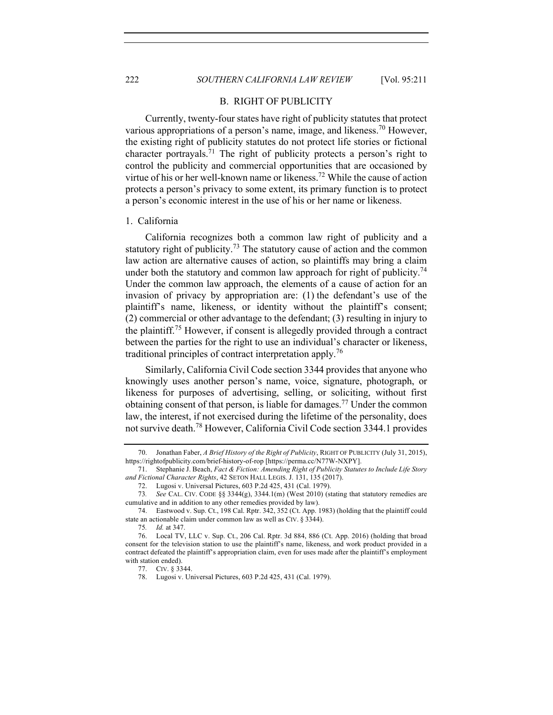### B. RIGHT OF PUBLICITY

Currently, twenty-four states have right of publicity statutes that protect various appropriations of a person's name, image, and likeness.<sup>70</sup> However, the existing right of publicity statutes do not protect life stories or fictional character portrayals.<sup>71</sup> The right of publicity protects a person's right to control the publicity and commercial opportunities that are occasioned by virtue of his or her well-known name or likeness.72 While the cause of action protects a person's privacy to some extent, its primary function is to protect a person's economic interest in the use of his or her name or likeness.

### 1. California

California recognizes both a common law right of publicity and a statutory right of publicity.<sup>73</sup> The statutory cause of action and the common law action are alternative causes of action, so plaintiffs may bring a claim under both the statutory and common law approach for right of publicity.<sup>74</sup> Under the common law approach, the elements of a cause of action for an invasion of privacy by appropriation are: (1) the defendant's use of the plaintiff's name, likeness, or identity without the plaintiff's consent; (2) commercial or other advantage to the defendant; (3) resulting in injury to the plaintiff.<sup>75</sup> However, if consent is allegedly provided through a contract between the parties for the right to use an individual's character or likeness, traditional principles of contract interpretation apply.<sup>76</sup>

Similarly, California Civil Code section 3344 provides that anyone who knowingly uses another person's name, voice, signature, photograph, or likeness for purposes of advertising, selling, or soliciting, without first obtaining consent of that person, is liable for damages.<sup>77</sup> Under the common law, the interest, if not exercised during the lifetime of the personality, does not survive death.<sup>78</sup> However, California Civil Code section 3344.1 provides

<sup>70.</sup> Jonathan Faber, *A Brief History of the Right of Publicity*, RIGHT OF PUBLICITY (July 31, 2015), https://rightofpublicity.com/brief-history-of-rop [https://perma.cc/N77W-NXPY].

<sup>71.</sup> Stephanie J. Beach, *Fact & Fiction: Amending Right of Publicity Statutes to Include Life Story and Fictional Character Rights*, 42 SETON HALL LEGIS. J. 131, 135 (2017).

<sup>72.</sup> Lugosi v. Universal Pictures, 603 P.2d 425, 431 (Cal. 1979).

<sup>73</sup>*. See* CAL. CIV. CODE §§ 3344(g), 3344.1(m) (West 2010) (stating that statutory remedies are cumulative and in addition to any other remedies provided by law).

<sup>74.</sup> Eastwood v. Sup. Ct., 198 Cal. Rptr. 342, 352 (Ct. App. 1983) (holding that the plaintiff could state an actionable claim under common law as well as CIV. § 3344).

<sup>75</sup>*. Id.* at 347.

<sup>76.</sup> Local TV, LLC v. Sup. Ct., 206 Cal. Rptr. 3d 884, 886 (Ct. App. 2016) (holding that broad consent for the television station to use the plaintiff's name, likeness, and work product provided in a contract defeated the plaintiff's appropriation claim, even for uses made after the plaintiff's employment with station ended).

<sup>77.</sup> CIV. § 3344.

<sup>78.</sup> Lugosi v. Universal Pictures, 603 P.2d 425, 431 (Cal. 1979).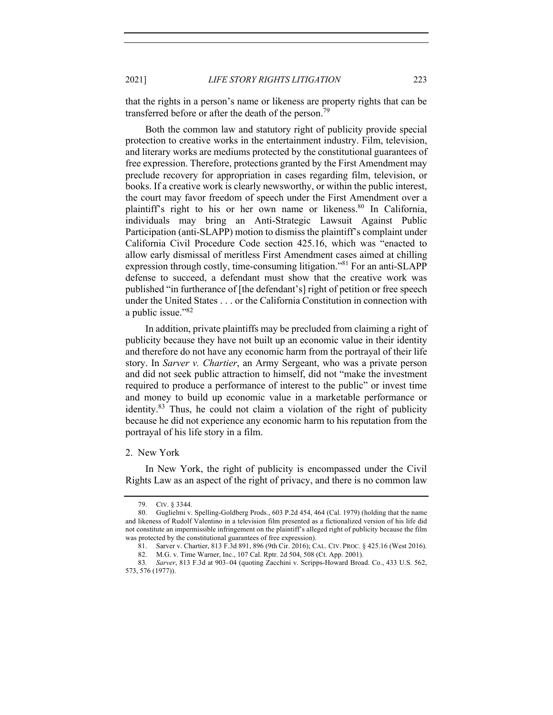that the rights in a person's name or likeness are property rights that can be transferred before or after the death of the person.<sup>79</sup>

Both the common law and statutory right of publicity provide special protection to creative works in the entertainment industry. Film, television, and literary works are mediums protected by the constitutional guarantees of free expression. Therefore, protections granted by the First Amendment may preclude recovery for appropriation in cases regarding film, television, or books. If a creative work is clearly newsworthy, or within the public interest, the court may favor freedom of speech under the First Amendment over a plaintiff's right to his or her own name or likeness.<sup>80</sup> In California, individuals may bring an Anti-Strategic Lawsuit Against Public Participation (anti-SLAPP) motion to dismiss the plaintiff's complaint under California Civil Procedure Code section 425.16, which was "enacted to allow early dismissal of meritless First Amendment cases aimed at chilling expression through costly, time-consuming litigation."<sup>81</sup> For an anti-SLAPP defense to succeed, a defendant must show that the creative work was published "in furtherance of [the defendant's] right of petition or free speech under the United States . . . or the California Constitution in connection with a public issue."82

In addition, private plaintiffs may be precluded from claiming a right of publicity because they have not built up an economic value in their identity and therefore do not have any economic harm from the portrayal of their life story. In *Sarver v. Chartier*, an Army Sergeant, who was a private person and did not seek public attraction to himself, did not "make the investment required to produce a performance of interest to the public" or invest time and money to build up economic value in a marketable performance or identity. $83$  Thus, he could not claim a violation of the right of publicity because he did not experience any economic harm to his reputation from the portrayal of his life story in a film.

### 2. New York

In New York, the right of publicity is encompassed under the Civil Rights Law as an aspect of the right of privacy, and there is no common law

<sup>79.</sup> CIV. § 3344.

<sup>80.</sup> Guglielmi v. Spelling-Goldberg Prods., 603 P.2d 454, 464 (Cal. 1979) (holding that the name and likeness of Rudolf Valentino in a television film presented as a fictionalized version of his life did not constitute an impermissible infringement on the plaintiff's alleged right of publicity because the film was protected by the constitutional guarantees of free expression).

<sup>81.</sup> Sarver v. Chartier, 813 F.3d 891, 896 (9th Cir. 2016); CAL. CIV. PROC. § 425.16 (West 2016).

<sup>82.</sup> M.G. v. Time Warner, Inc., 107 Cal. Rptr. 2d 504, 508 (Ct. App. 2001).

<sup>83</sup>*. Sarver*, 813 F.3d at 903–04 (quoting Zacchini v. Scripps-Howard Broad. Co., 433 U.S. 562, 573, 576 (1977)).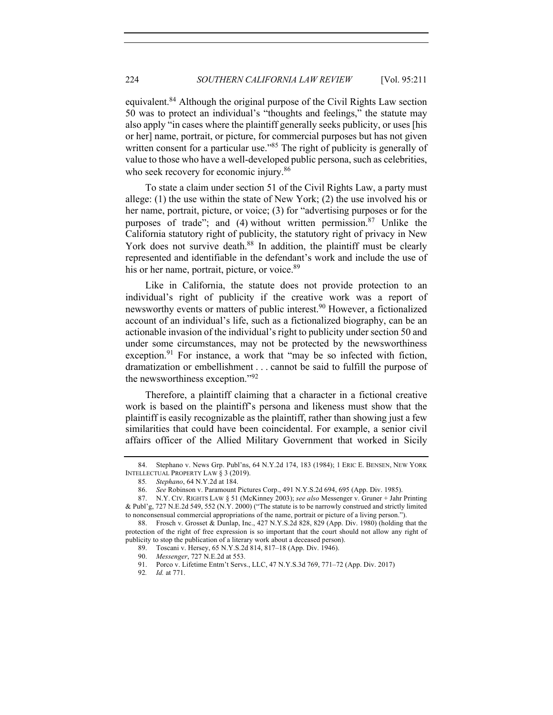equivalent.<sup>84</sup> Although the original purpose of the Civil Rights Law section 50 was to protect an individual's "thoughts and feelings," the statute may also apply "in cases where the plaintiff generally seeks publicity, or uses [his or her] name, portrait, or picture, for commercial purposes but has not given written consent for a particular use."<sup>85</sup> The right of publicity is generally of value to those who have a well-developed public persona, such as celebrities, who seek recovery for economic injury.<sup>86</sup>

To state a claim under section 51 of the Civil Rights Law, a party must allege: (1) the use within the state of New York; (2) the use involved his or her name, portrait, picture, or voice; (3) for "advertising purposes or for the purposes of trade"; and (4) without written permission.<sup>87</sup> Unlike the California statutory right of publicity, the statutory right of privacy in New York does not survive death.<sup>88</sup> In addition, the plaintiff must be clearly represented and identifiable in the defendant's work and include the use of his or her name, portrait, picture, or voice.<sup>89</sup>

Like in California, the statute does not provide protection to an individual's right of publicity if the creative work was a report of newsworthy events or matters of public interest.<sup>90</sup> However, a fictionalized account of an individual's life, such as a fictionalized biography, can be an actionable invasion of the individual's right to publicity under section 50 and under some circumstances, may not be protected by the newsworthiness exception. $91$  For instance, a work that "may be so infected with fiction, dramatization or embellishment . . . cannot be said to fulfill the purpose of the newsworthiness exception."<sup>92</sup>

Therefore, a plaintiff claiming that a character in a fictional creative work is based on the plaintiff's persona and likeness must show that the plaintiff is easily recognizable as the plaintiff, rather than showing just a few similarities that could have been coincidental. For example, a senior civil affairs officer of the Allied Military Government that worked in Sicily

<sup>84.</sup> Stephano v. News Grp. Publ'ns, 64 N.Y.2d 174, 183 (1984); 1 ERIC E. BENSEN, NEW YORK INTELLECTUAL PROPERTY LAW § 3 (2019).

<sup>85</sup>*. Stephano*, 64 N.Y.2d at 184.

<sup>86.</sup> *See* Robinson v. Paramount Pictures Corp., 491 N.Y.S.2d 694, 695 (App. Div. 1985).

<sup>87.</sup> N.Y. CIV. RIGHTS LAW § 51 (McKinney 2003); *see also* Messenger v. Gruner + Jahr Printing & Publ'g, 727 N.E.2d 549, 552 (N.Y. 2000) ("The statute is to be narrowly construed and strictly limited to nonconsensual commercial appropriations of the name, portrait or picture of a living person.").

<sup>88.</sup> Frosch v. Grosset & Dunlap, Inc., 427 N.Y.S.2d 828, 829 (App. Div. 1980) (holding that the protection of the right of free expression is so important that the court should not allow any right of publicity to stop the publication of a literary work about a deceased person).

<sup>89.</sup> Toscani v. Hersey, 65 N.Y.S.2d 814, 817–18 (App. Div. 1946).

<sup>90.</sup> *Messenger*, 727 N.E.2d at 553.

<sup>91.</sup> Porco v. Lifetime Entm't Servs., LLC, 47 N.Y.S.3d 769, 771–72 (App. Div. 2017)

<sup>92</sup>*. Id.* at 771.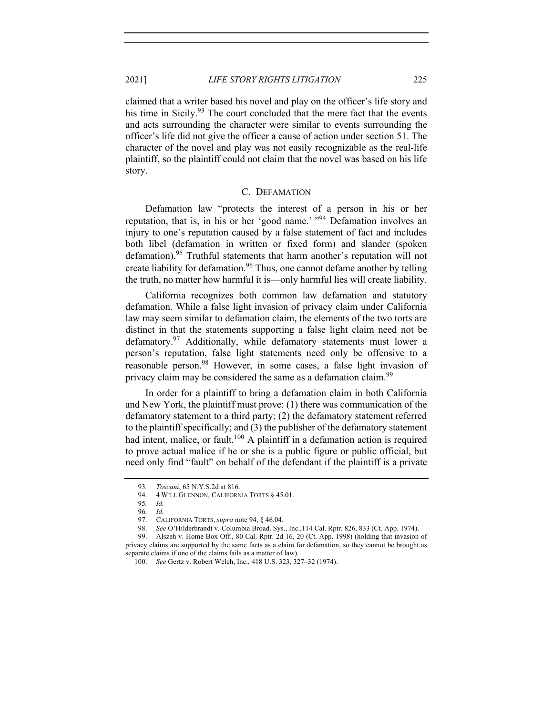claimed that a writer based his novel and play on the officer's life story and his time in Sicily.<sup>93</sup> The court concluded that the mere fact that the events and acts surrounding the character were similar to events surrounding the officer's life did not give the officer a cause of action under section 51. The character of the novel and play was not easily recognizable as the real-life plaintiff, so the plaintiff could not claim that the novel was based on his life story.

#### C. DEFAMATION

Defamation law "protects the interest of a person in his or her reputation, that is, in his or her 'good name.' "94 Defamation involves an injury to one's reputation caused by a false statement of fact and includes both libel (defamation in written or fixed form) and slander (spoken defamation).<sup>95</sup> Truthful statements that harm another's reputation will not create liability for defamation.<sup>96</sup> Thus, one cannot defame another by telling the truth, no matter how harmful it is—only harmful lies will create liability.

California recognizes both common law defamation and statutory defamation. While a false light invasion of privacy claim under California law may seem similar to defamation claim, the elements of the two torts are distinct in that the statements supporting a false light claim need not be defamatory.<sup>97</sup> Additionally, while defamatory statements must lower a person's reputation, false light statements need only be offensive to a reasonable person.<sup>98</sup> However, in some cases, a false light invasion of privacy claim may be considered the same as a defamation claim.<sup>99</sup>

In order for a plaintiff to bring a defamation claim in both California and New York, the plaintiff must prove: (1) there was communication of the defamatory statement to a third party; (2) the defamatory statement referred to the plaintiff specifically; and (3) the publisher of the defamatory statement had intent, malice, or fault.<sup>100</sup> A plaintiff in a defamation action is required to prove actual malice if he or she is a public figure or public official, but need only find "fault" on behalf of the defendant if the plaintiff is a private

<sup>93</sup>*. Toscani*, 65 N.Y.S.2d at 816.

<sup>94.</sup> 4 WILL GLENNON, CALIFORNIA TORTS § 45.01.

<sup>95</sup>*. Id.* 

<sup>96</sup>*. Id.*

<sup>97.</sup> CALIFORNIA TORTS, *supra* note 94, § 46.04.

<sup>98.</sup> *See* O'Hilderbrandt v. Columbia Broad. Sys., Inc.,114 Cal. Rptr. 826, 833 (Ct. App. 1974).

<sup>99.</sup> Alszeh v. Home Box Off., 80 Cal. Rptr. 2d 16, 20 (Ct. App. 1998) (holding that invasion of privacy claims are supported by the same facts as a claim for defamation, so they cannot be brought as separate claims if one of the claims fails as a matter of law).

<sup>100.</sup> *See* Gertz v. Robert Welch, Inc., 418 U.S. 323, 327–32 (1974).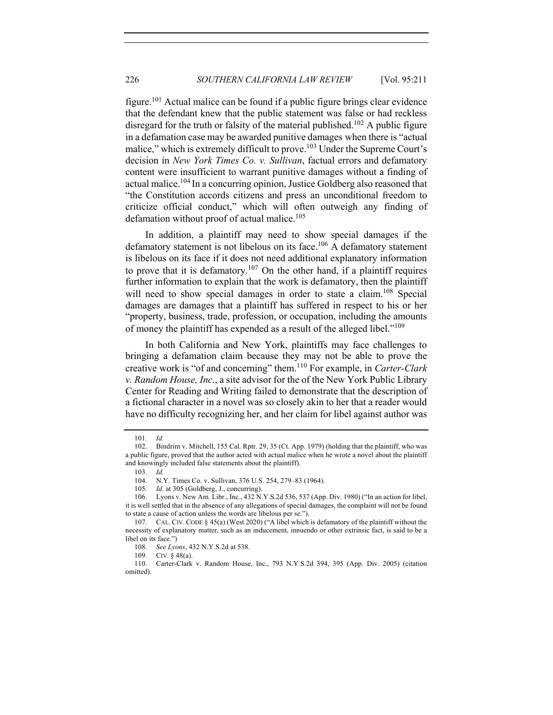figure.<sup>101</sup> Actual malice can be found if a public figure brings clear evidence that the defendant knew that the public statement was false or had reckless disregard for the truth or falsity of the material published.<sup>102</sup> A public figure in a defamation case may be awarded punitive damages when there is "actual malice," which is extremely difficult to prove.<sup>103</sup> Under the Supreme Court's decision in *New York Times Co. v. Sullivan*, factual errors and defamatory content were insufficient to warrant punitive damages without a finding of actual malice.<sup>104</sup> In a concurring opinion, Justice Goldberg also reasoned that "the Constitution accords citizens and press an unconditional freedom to criticize official conduct," which will often outweigh any finding of defamation without proof of actual malice. $105$ 

In addition, a plaintiff may need to show special damages if the defamatory statement is not libelous on its face.<sup>106</sup> A defamatory statement is libelous on its face if it does not need additional explanatory information to prove that it is defamatory.<sup>107</sup> On the other hand, if a plaintiff requires further information to explain that the work is defamatory, then the plaintiff will need to show special damages in order to state a claim.<sup>108</sup> Special damages are damages that a plaintiff has suffered in respect to his or her "property, business, trade, profession, or occupation, including the amounts of money the plaintiff has expended as a result of the alleged libel."109

In both California and New York, plaintiffs may face challenges to bringing a defamation claim because they may not be able to prove the creative work is "of and concerning" them. <sup>110</sup> For example, in *Carter-Clark v. Random House, Inc.*, a site advisor for the of the New York Public Library Center for Reading and Writing failed to demonstrate that the description of a fictional character in a novel was so closely akin to her that a reader would have no difficulty recognizing her, and her claim for libel against author was

<sup>101</sup>*. Id.*

<sup>102.</sup> Bindrim v. Mitchell, 155 Cal. Rptr. 29, 35 (Ct. App. 1979) (holding that the plaintiff, who was a public figure, proved that the author acted with actual malice when he wrote a novel about the plaintiff and knowingly included false statements about the plaintiff).

<sup>103.</sup> *Id.*

<sup>104.</sup> N.Y. Times Co. v. Sullivan, 376 U.S. 254, 279–83 (1964).

<sup>105</sup>*. Id.* at 305 (Goldberg, J., concurring).

<sup>106.</sup> Lyons v. New Am. Libr., Inc., 432 N.Y.S.2d 536, 537 (App. Div. 1980) ("In an action for libel, it is well settled that in the absence of any allegations of special damages, the complaint will not be found to state a cause of action unless the words are libelous per se.").

<sup>107.</sup> CAL. CIV. CODE § 45(a) (West 2020) ("A libel which is defamatory of the plaintiff without the necessity of explanatory matter, such as an inducement, innuendo or other extrinsic fact, is said to be a libel on its face.")

<sup>108</sup>*. See Lyons*, 432 N.Y.S.2d at 538.

<sup>109</sup>*.* CIV. § 48(a).

<sup>110.</sup> Carter-Clark v. Random House, Inc., 793 N.Y.S.2d 394, 395 (App. Div. 2005) (citation omitted).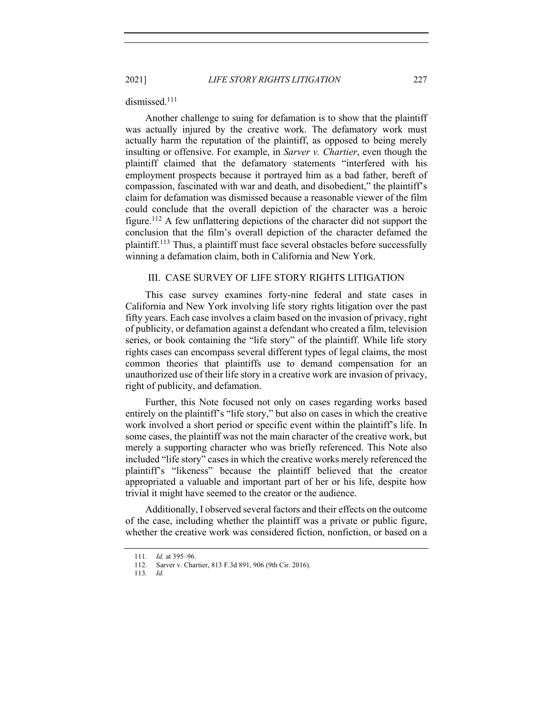2021] *LIFE STORY RIGHTS LITIGATION* 227

dismissed.<sup>111</sup>

Another challenge to suing for defamation is to show that the plaintiff was actually injured by the creative work. The defamatory work must actually harm the reputation of the plaintiff, as opposed to being merely insulting or offensive. For example, in *Sarver v. Chartier*, even though the plaintiff claimed that the defamatory statements "interfered with his employment prospects because it portrayed him as a bad father, bereft of compassion, fascinated with war and death, and disobedient," the plaintiff's claim for defamation was dismissed because a reasonable viewer of the film could conclude that the overall depiction of the character was a heroic figure.<sup>112</sup> A few unflattering depictions of the character did not support the conclusion that the film's overall depiction of the character defamed the plaintiff.113 Thus, a plaintiff must face several obstacles before successfully winning a defamation claim, both in California and New York.

# III. CASE SURVEY OF LIFE STORY RIGHTS LITIGATION

This case survey examines forty-nine federal and state cases in California and New York involving life story rights litigation over the past fifty years. Each case involves a claim based on the invasion of privacy, right of publicity, or defamation against a defendant who created a film, television series, or book containing the "life story" of the plaintiff. While life story rights cases can encompass several different types of legal claims, the most common theories that plaintiffs use to demand compensation for an unauthorized use of their life story in a creative work are invasion of privacy, right of publicity, and defamation.

Further, this Note focused not only on cases regarding works based entirely on the plaintiff's "life story," but also on cases in which the creative work involved a short period or specific event within the plaintiff's life. In some cases, the plaintiff was not the main character of the creative work, but merely a supporting character who was briefly referenced. This Note also included "life story" cases in which the creative works merely referenced the plaintiff's "likeness" because the plaintiff believed that the creator appropriated a valuable and important part of her or his life, despite how trivial it might have seemed to the creator or the audience.

Additionally, I observed several factors and their effects on the outcome of the case, including whether the plaintiff was a private or public figure, whether the creative work was considered fiction, nonfiction, or based on a

<sup>111</sup>*. Id.* at 395–96.

<sup>112.</sup> Sarver v. Chartier, 813 F.3d 891, 906 (9th Cir. 2016).

<sup>113</sup>*. Id.*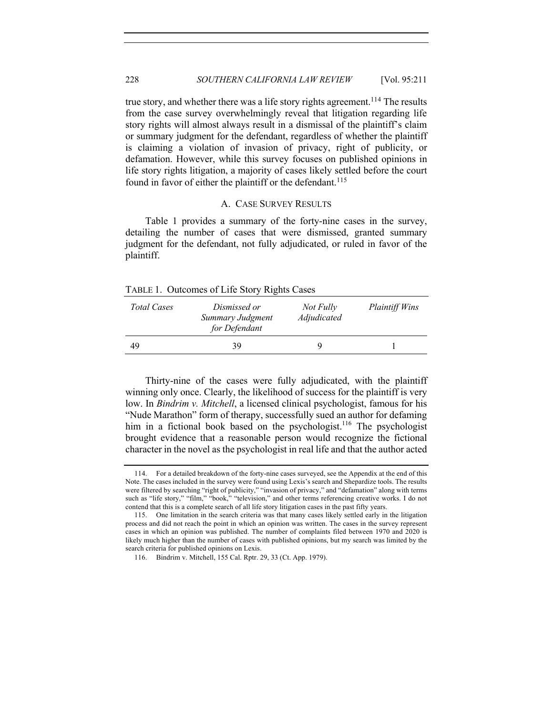true story, and whether there was a life story rights agreement.<sup>114</sup> The results from the case survey overwhelmingly reveal that litigation regarding life story rights will almost always result in a dismissal of the plaintiff's claim or summary judgment for the defendant, regardless of whether the plaintiff is claiming a violation of invasion of privacy, right of publicity, or defamation. However, while this survey focuses on published opinions in life story rights litigation, a majority of cases likely settled before the court found in favor of either the plaintiff or the defendant.<sup>115</sup>

# A. CASE SURVEY RESULTS

Table 1 provides a summary of the forty-nine cases in the survey, detailing the number of cases that were dismissed, granted summary judgment for the defendant, not fully adjudicated, or ruled in favor of the plaintiff.

TABLE 1. Outcomes of Life Story Rights Cases

| <b>Total Cases</b> | Dismissed or<br>Summary Judgment<br>for Defendant | Not Fully<br>Adjudicated | <b>Plaintiff Wins</b> |
|--------------------|---------------------------------------------------|--------------------------|-----------------------|
| 49                 | 39                                                | q                        |                       |

Thirty-nine of the cases were fully adjudicated, with the plaintiff winning only once. Clearly, the likelihood of success for the plaintiff is very low. In *Bindrim v. Mitchell*, a licensed clinical psychologist, famous for his "Nude Marathon" form of therapy, successfully sued an author for defaming him in a fictional book based on the psychologist.<sup>116</sup> The psychologist brought evidence that a reasonable person would recognize the fictional character in the novel as the psychologist in real life and that the author acted

<sup>114.</sup> For a detailed breakdown of the forty-nine cases surveyed, see the Appendix at the end of this Note. The cases included in the survey were found using Lexis's search and Shepardize tools. The results were filtered by searching "right of publicity," "invasion of privacy," and "defamation" along with terms such as "life story," "film," "book," "television," and other terms referencing creative works. I do not contend that this is a complete search of all life story litigation cases in the past fifty years.

<sup>115.</sup> One limitation in the search criteria was that many cases likely settled early in the litigation process and did not reach the point in which an opinion was written. The cases in the survey represent cases in which an opinion was published. The number of complaints filed between 1970 and 2020 is likely much higher than the number of cases with published opinions, but my search was limited by the search criteria for published opinions on Lexis.

<sup>116.</sup> Bindrim v. Mitchell, 155 Cal. Rptr. 29, 33 (Ct. App. 1979).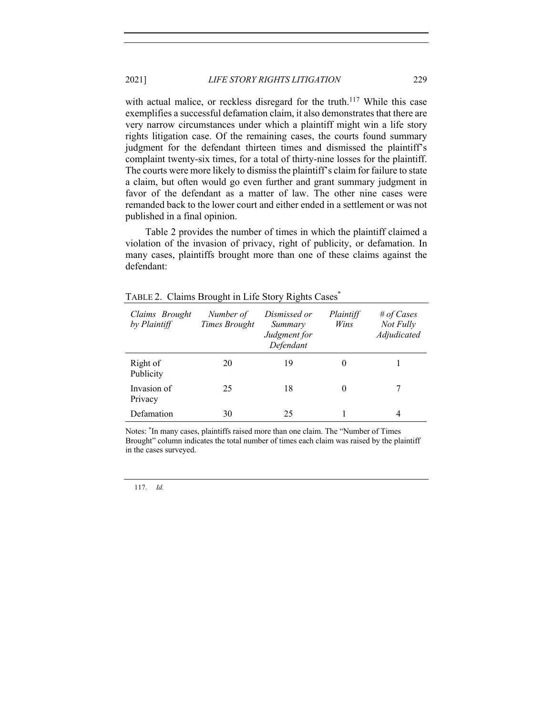with actual malice, or reckless disregard for the truth.<sup>117</sup> While this case exemplifies a successful defamation claim, it also demonstrates that there are very narrow circumstances under which a plaintiff might win a life story rights litigation case. Of the remaining cases, the courts found summary judgment for the defendant thirteen times and dismissed the plaintiff's complaint twenty-six times, for a total of thirty-nine losses for the plaintiff. The courts were more likely to dismiss the plaintiff's claim for failure to state a claim, but often would go even further and grant summary judgment in favor of the defendant as a matter of law. The other nine cases were remanded back to the lower court and either ended in a settlement or was not published in a final opinion.

Table 2 provides the number of times in which the plaintiff claimed a violation of the invasion of privacy, right of publicity, or defamation. In many cases, plaintiffs brought more than one of these claims against the defendant:

| Claims Brought<br>by Plaintiff | Number of<br><b>Times Brought</b> | Dismissed or<br>Summary<br>Judgment for<br>Defendant | Plaintiff<br>Wins | # of Cases<br>Not Fully<br>Adjudicated |
|--------------------------------|-----------------------------------|------------------------------------------------------|-------------------|----------------------------------------|
| Right of<br>Publicity          | 20                                | 19                                                   | $\theta$          |                                        |
| Invasion of<br>Privacy         | 25                                | 18                                                   | $\theta$          |                                        |
| Defamation                     | 30                                | 25                                                   |                   | 4                                      |

TABLE 2. Claims Brought in Life Story Rights Cases\*

Notes: \* In many cases, plaintiffs raised more than one claim. The "Number of Times Brought" column indicates the total number of times each claim was raised by the plaintiff in the cases surveyed.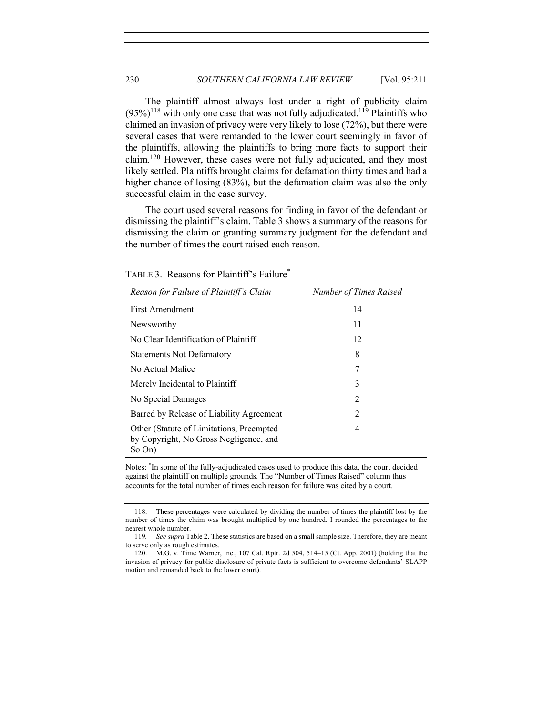The plaintiff almost always lost under a right of publicity claim  $(95\%)$ <sup>118</sup> with only one case that was not fully adjudicated.<sup>119</sup> Plaintiffs who claimed an invasion of privacy were very likely to lose (72%), but there were several cases that were remanded to the lower court seemingly in favor of the plaintiffs, allowing the plaintiffs to bring more facts to support their claim.120 However, these cases were not fully adjudicated, and they most likely settled. Plaintiffs brought claims for defamation thirty times and had a higher chance of losing (83%), but the defamation claim was also the only successful claim in the case survey.

The court used several reasons for finding in favor of the defendant or dismissing the plaintiff's claim. Table 3 shows a summary of the reasons for dismissing the claim or granting summary judgment for the defendant and the number of times the court raised each reason.

| Reason for Failure of Plaintiff's Claim                                                      | Number of Times Raised |
|----------------------------------------------------------------------------------------------|------------------------|
| First Amendment                                                                              | 14                     |
| Newsworthy                                                                                   | 11                     |
| No Clear Identification of Plaintiff                                                         | 12                     |
| <b>Statements Not Defamatory</b>                                                             | 8                      |
| No Actual Malice                                                                             | 7                      |
| Merely Incidental to Plaintiff                                                               | 3                      |
| No Special Damages                                                                           | $\mathfrak{D}$         |
| Barred by Release of Liability Agreement                                                     | 2                      |
| Other (Statute of Limitations, Preempted<br>by Copyright, No Gross Negligence, and<br>So On) | 4                      |

TABLE 3. Reasons for Plaintiff's Failure\*

Notes: \* In some of the fully-adjudicated cases used to produce this data, the court decided against the plaintiff on multiple grounds. The "Number of Times Raised" column thus accounts for the total number of times each reason for failure was cited by a court.

<sup>118.</sup> These percentages were calculated by dividing the number of times the plaintiff lost by the number of times the claim was brought multiplied by one hundred. I rounded the percentages to the nearest whole number.

<sup>119</sup>*. See supra* Table 2. These statistics are based on a small sample size. Therefore, they are meant to serve only as rough estimates.

<sup>120.</sup> M.G. v. Time Warner, Inc., 107 Cal. Rptr. 2d 504, 514–15 (Ct. App. 2001) (holding that the invasion of privacy for public disclosure of private facts is sufficient to overcome defendants' SLAPP motion and remanded back to the lower court).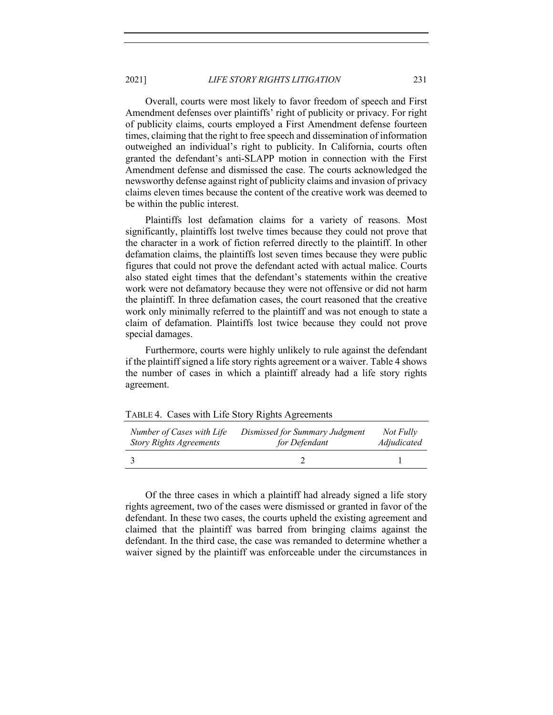2021] *LIFE STORY RIGHTS LITIGATION* 231

Overall, courts were most likely to favor freedom of speech and First Amendment defenses over plaintiffs' right of publicity or privacy. For right of publicity claims, courts employed a First Amendment defense fourteen times, claiming that the right to free speech and dissemination of information outweighed an individual's right to publicity. In California, courts often granted the defendant's anti-SLAPP motion in connection with the First Amendment defense and dismissed the case. The courts acknowledged the newsworthy defense against right of publicity claims and invasion of privacy claims eleven times because the content of the creative work was deemed to be within the public interest.

Plaintiffs lost defamation claims for a variety of reasons. Most significantly, plaintiffs lost twelve times because they could not prove that the character in a work of fiction referred directly to the plaintiff. In other defamation claims, the plaintiffs lost seven times because they were public figures that could not prove the defendant acted with actual malice. Courts also stated eight times that the defendant's statements within the creative work were not defamatory because they were not offensive or did not harm the plaintiff. In three defamation cases, the court reasoned that the creative work only minimally referred to the plaintiff and was not enough to state a claim of defamation. Plaintiffs lost twice because they could not prove special damages.

Furthermore, courts were highly unlikely to rule against the defendant if the plaintiff signed a life story rights agreement or a waiver. Table 4 shows the number of cases in which a plaintiff already had a life story rights agreement.

| Number of Cases with Life      | Dismissed for Summary Judgment | Not Fully   |
|--------------------------------|--------------------------------|-------------|
| <b>Story Rights Agreements</b> | for Defendant                  | Adjudicated |
|                                |                                |             |

TABLE 4. Cases with Life Story Rights Agreements

Of the three cases in which a plaintiff had already signed a life story rights agreement, two of the cases were dismissed or granted in favor of the defendant. In these two cases, the courts upheld the existing agreement and claimed that the plaintiff was barred from bringing claims against the defendant. In the third case, the case was remanded to determine whether a waiver signed by the plaintiff was enforceable under the circumstances in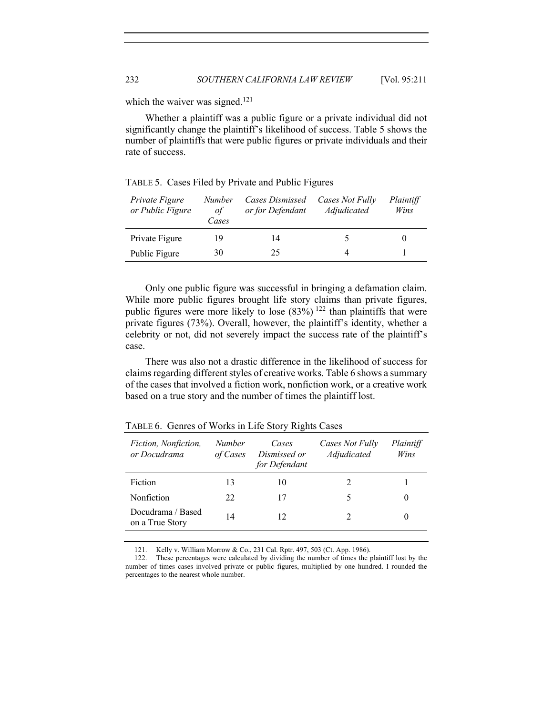which the waiver was signed.<sup>121</sup>

Whether a plaintiff was a public figure or a private individual did not significantly change the plaintiff's likelihood of success. Table 5 shows the number of plaintiffs that were public figures or private individuals and their rate of success.

| Private Figure<br>or Public Figure | <b>Number</b><br>οf<br>Cases | Cases Dismissed<br>or for Defendant | Cases Not Fully<br>Adjudicated | Plaintiff<br>Wins |
|------------------------------------|------------------------------|-------------------------------------|--------------------------------|-------------------|
| Private Figure                     | 19                           | 14                                  |                                |                   |
| Public Figure                      | 30                           | 25                                  |                                |                   |

TABLE 5. Cases Filed by Private and Public Figures

Only one public figure was successful in bringing a defamation claim. While more public figures brought life story claims than private figures, public figures were more likely to lose  $(83%)$  <sup>122</sup> than plaintiffs that were private figures (73%). Overall, however, the plaintiff's identity, whether a celebrity or not, did not severely impact the success rate of the plaintiff's case.

There was also not a drastic difference in the likelihood of success for claims regarding different styles of creative works. Table 6 shows a summary of the cases that involved a fiction work, nonfiction work, or a creative work based on a true story and the number of times the plaintiff lost.

| Fiction, Nonfiction,<br>or Docudrama | <i>Number</i><br>of Cases | Cases<br>Dismissed or<br>for Defendant | Cases Not Fully<br>Adjudicated | Plaintiff<br>Wins |
|--------------------------------------|---------------------------|----------------------------------------|--------------------------------|-------------------|
| Fiction                              | 13                        | 10                                     |                                |                   |
| Nonfiction                           | 22                        | 17                                     |                                |                   |
| Docudrama / Based<br>on a True Story | 14                        | 12                                     |                                |                   |

TABLE 6. Genres of Works in Life Story Rights Cases

121. Kelly v. William Morrow & Co., 231 Cal. Rptr. 497, 503 (Ct. App. 1986).

<sup>122.</sup> These percentages were calculated by dividing the number of times the plaintiff lost by the number of times cases involved private or public figures, multiplied by one hundred. I rounded the percentages to the nearest whole number.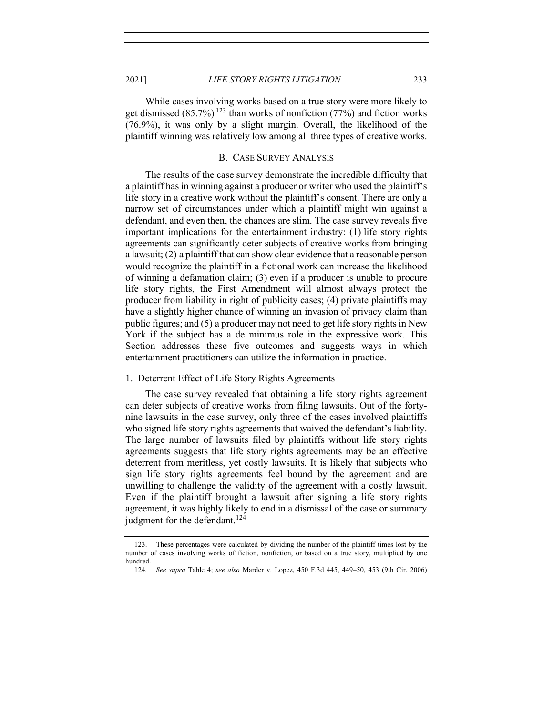While cases involving works based on a true story were more likely to get dismissed  $(85.7\%)$  <sup>123</sup> than works of nonfiction (77%) and fiction works (76.9%), it was only by a slight margin. Overall, the likelihood of the plaintiff winning was relatively low among all three types of creative works.

### B. CASE SURVEY ANALYSIS

The results of the case survey demonstrate the incredible difficulty that a plaintiff has in winning against a producer or writer who used the plaintiff's life story in a creative work without the plaintiff's consent. There are only a narrow set of circumstances under which a plaintiff might win against a defendant, and even then, the chances are slim. The case survey reveals five important implications for the entertainment industry: (1) life story rights agreements can significantly deter subjects of creative works from bringing a lawsuit; (2) a plaintiff that can show clear evidence that a reasonable person would recognize the plaintiff in a fictional work can increase the likelihood of winning a defamation claim; (3) even if a producer is unable to procure life story rights, the First Amendment will almost always protect the producer from liability in right of publicity cases; (4) private plaintiffs may have a slightly higher chance of winning an invasion of privacy claim than public figures; and (5) a producer may not need to get life story rights in New York if the subject has a de minimus role in the expressive work. This Section addresses these five outcomes and suggests ways in which entertainment practitioners can utilize the information in practice.

# 1. Deterrent Effect of Life Story Rights Agreements

The case survey revealed that obtaining a life story rights agreement can deter subjects of creative works from filing lawsuits. Out of the fortynine lawsuits in the case survey, only three of the cases involved plaintiffs who signed life story rights agreements that waived the defendant's liability. The large number of lawsuits filed by plaintiffs without life story rights agreements suggests that life story rights agreements may be an effective deterrent from meritless, yet costly lawsuits. It is likely that subjects who sign life story rights agreements feel bound by the agreement and are unwilling to challenge the validity of the agreement with a costly lawsuit. Even if the plaintiff brought a lawsuit after signing a life story rights agreement, it was highly likely to end in a dismissal of the case or summary judgment for the defendant.<sup>124</sup>

<sup>123.</sup> These percentages were calculated by dividing the number of the plaintiff times lost by the number of cases involving works of fiction, nonfiction, or based on a true story, multiplied by one hundred.

<sup>124</sup>*. See supra* Table 4; *see also* Marder v. Lopez, 450 F.3d 445, 449–50, 453 (9th Cir. 2006)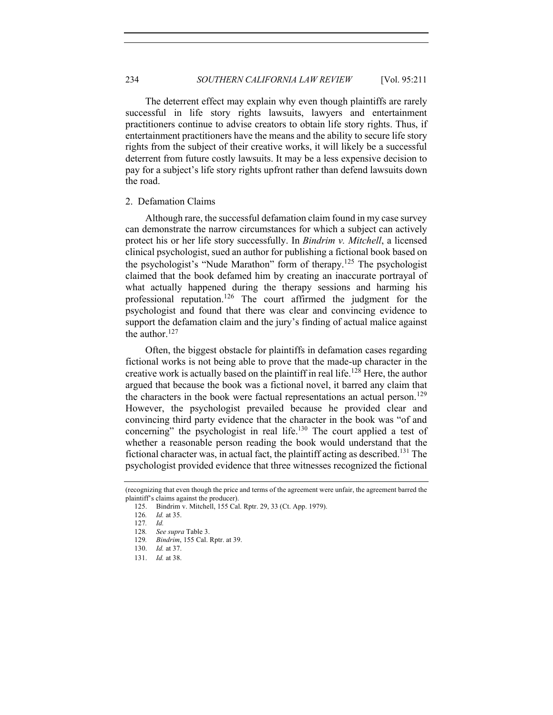234 *SOUTHERN CALIFORNIA LAW REVIEW* [Vol. 95:211

The deterrent effect may explain why even though plaintiffs are rarely successful in life story rights lawsuits, lawyers and entertainment practitioners continue to advise creators to obtain life story rights. Thus, if entertainment practitioners have the means and the ability to secure life story rights from the subject of their creative works, it will likely be a successful deterrent from future costly lawsuits. It may be a less expensive decision to pay for a subject's life story rights upfront rather than defend lawsuits down the road.

#### 2. Defamation Claims

Although rare, the successful defamation claim found in my case survey can demonstrate the narrow circumstances for which a subject can actively protect his or her life story successfully. In *Bindrim v. Mitchell*, a licensed clinical psychologist, sued an author for publishing a fictional book based on the psychologist's "Nude Marathon" form of therapy. <sup>125</sup> The psychologist claimed that the book defamed him by creating an inaccurate portrayal of what actually happened during the therapy sessions and harming his professional reputation.126 The court affirmed the judgment for the psychologist and found that there was clear and convincing evidence to support the defamation claim and the jury's finding of actual malice against the author. $127$ 

Often, the biggest obstacle for plaintiffs in defamation cases regarding fictional works is not being able to prove that the made-up character in the creative work is actually based on the plaintiff in real life.<sup>128</sup> Here, the author argued that because the book was a fictional novel, it barred any claim that the characters in the book were factual representations an actual person.<sup>129</sup> However, the psychologist prevailed because he provided clear and convincing third party evidence that the character in the book was "of and concerning" the psychologist in real life. $130$  The court applied a test of whether a reasonable person reading the book would understand that the fictional character was, in actual fact, the plaintiff acting as described.<sup>131</sup> The psychologist provided evidence that three witnesses recognized the fictional

<sup>(</sup>recognizing that even though the price and terms of the agreement were unfair, the agreement barred the plaintiff's claims against the producer).

<sup>125.</sup> Bindrim v. Mitchell, 155 Cal. Rptr. 29, 33 (Ct. App. 1979).

<sup>126</sup>*. Id.* at 35.

<sup>127</sup>*. Id.* 

<sup>128</sup>*. See supra* Table 3.

<sup>129</sup>*. Bindrim*, 155 Cal. Rptr. at 39.

<sup>130.</sup> *Id.* at 37.

<sup>131.</sup> *Id.* at 38.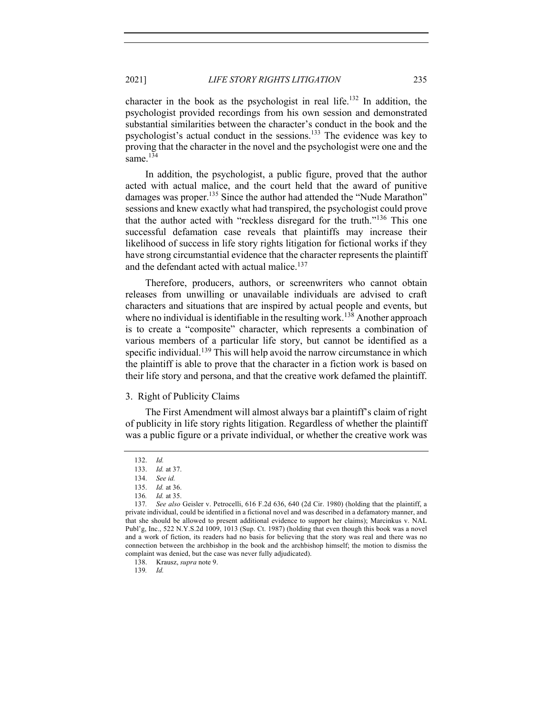character in the book as the psychologist in real life.<sup>132</sup> In addition, the psychologist provided recordings from his own session and demonstrated substantial similarities between the character's conduct in the book and the psychologist's actual conduct in the sessions.<sup>133</sup> The evidence was key to proving that the character in the novel and the psychologist were one and the same.<sup>134</sup>

In addition, the psychologist, a public figure, proved that the author acted with actual malice, and the court held that the award of punitive damages was proper.<sup>135</sup> Since the author had attended the "Nude Marathon" sessions and knew exactly what had transpired, the psychologist could prove that the author acted with "reckless disregard for the truth."<sup>136</sup> This one successful defamation case reveals that plaintiffs may increase their likelihood of success in life story rights litigation for fictional works if they have strong circumstantial evidence that the character represents the plaintiff and the defendant acted with actual malice.<sup>137</sup>

Therefore, producers, authors, or screenwriters who cannot obtain releases from unwilling or unavailable individuals are advised to craft characters and situations that are inspired by actual people and events, but where no individual is identifiable in the resulting work.<sup>138</sup> Another approach is to create a "composite" character, which represents a combination of various members of a particular life story, but cannot be identified as a specific individual.<sup>139</sup> This will help avoid the narrow circumstance in which the plaintiff is able to prove that the character in a fiction work is based on their life story and persona, and that the creative work defamed the plaintiff.

### 3. Right of Publicity Claims

The First Amendment will almost always bar a plaintiff's claim of right of publicity in life story rights litigation. Regardless of whether the plaintiff was a public figure or a private individual, or whether the creative work was

139*. Id.*

<sup>132.</sup> *Id.*

<sup>133.</sup> *Id.* at 37.

<sup>134.</sup> *See id.*

<sup>135.</sup> *Id.* at 36.

<sup>136</sup>*. Id.* at 35.

<sup>137</sup>*. See also* Geisler v. Petrocelli, 616 F.2d 636, 640 (2d Cir. 1980) (holding that the plaintiff, a private individual, could be identified in a fictional novel and was described in a defamatory manner, and that she should be allowed to present additional evidence to support her claims); Marcinkus v. NAL Publ'g, Inc., 522 N.Y.S.2d 1009, 1013 (Sup. Ct. 1987) (holding that even though this book was a novel and a work of fiction, its readers had no basis for believing that the story was real and there was no connection between the archbishop in the book and the archbishop himself; the motion to dismiss the complaint was denied, but the case was never fully adjudicated).

<sup>138.</sup> Krausz, *supra* note 9.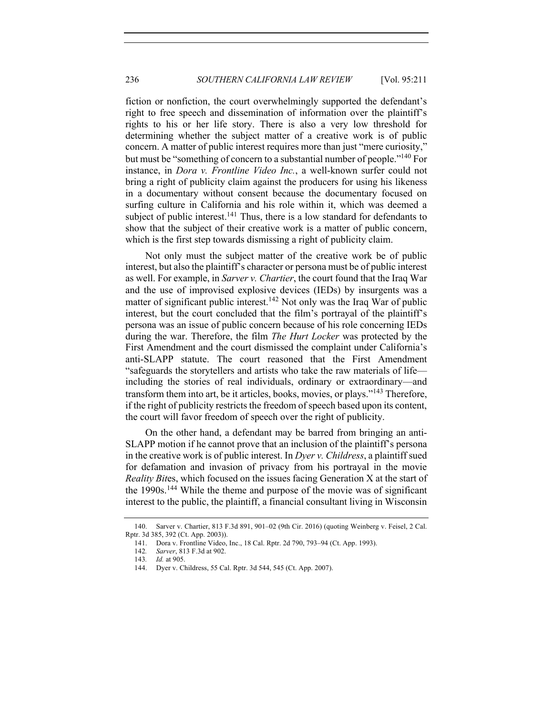fiction or nonfiction, the court overwhelmingly supported the defendant's right to free speech and dissemination of information over the plaintiff's rights to his or her life story. There is also a very low threshold for determining whether the subject matter of a creative work is of public concern. A matter of public interest requires more than just "mere curiosity," but must be "something of concern to a substantial number of people."<sup>140</sup> For instance, in *Dora v. Frontline Video Inc.*, a well-known surfer could not bring a right of publicity claim against the producers for using his likeness in a documentary without consent because the documentary focused on surfing culture in California and his role within it, which was deemed a subject of public interest.<sup>141</sup> Thus, there is a low standard for defendants to show that the subject of their creative work is a matter of public concern, which is the first step towards dismissing a right of publicity claim.

Not only must the subject matter of the creative work be of public interest, but also the plaintiff's character or persona must be of public interest as well. For example, in *Sarver v. Chartier*, the court found that the Iraq War and the use of improvised explosive devices (IEDs) by insurgents was a matter of significant public interest.<sup>142</sup> Not only was the Iraq War of public interest, but the court concluded that the film's portrayal of the plaintiff's persona was an issue of public concern because of his role concerning IEDs during the war. Therefore, the film *The Hurt Locker* was protected by the First Amendment and the court dismissed the complaint under California's anti-SLAPP statute. The court reasoned that the First Amendment "safeguards the storytellers and artists who take the raw materials of life including the stories of real individuals, ordinary or extraordinary—and transform them into art, be it articles, books, movies, or plays."<sup>143</sup> Therefore, if the right of publicity restricts the freedom of speech based upon its content, the court will favor freedom of speech over the right of publicity.

On the other hand, a defendant may be barred from bringing an anti-SLAPP motion if he cannot prove that an inclusion of the plaintiff's persona in the creative work is of public interest. In *Dyer v. Childress*, a plaintiff sued for defamation and invasion of privacy from his portrayal in the movie *Reality Bit*es, which focused on the issues facing Generation X at the start of the 1990s.<sup>144</sup> While the theme and purpose of the movie was of significant interest to the public, the plaintiff, a financial consultant living in Wisconsin

<sup>140.</sup> Sarver v. Chartier, 813 F.3d 891, 901–02 (9th Cir. 2016) (quoting Weinberg v. Feisel, 2 Cal. Rptr. 3d 385, 392 (Ct. App. 2003)).

<sup>141.</sup> Dora v. Frontline Video, Inc., 18 Cal. Rptr. 2d 790, 793–94 (Ct. App. 1993).

<sup>142</sup>*. Sarver*, 813 F.3d at 902.

<sup>143</sup>*. Id.* at 905.

<sup>144.</sup> Dyer v. Childress, 55 Cal. Rptr. 3d 544, 545 (Ct. App. 2007).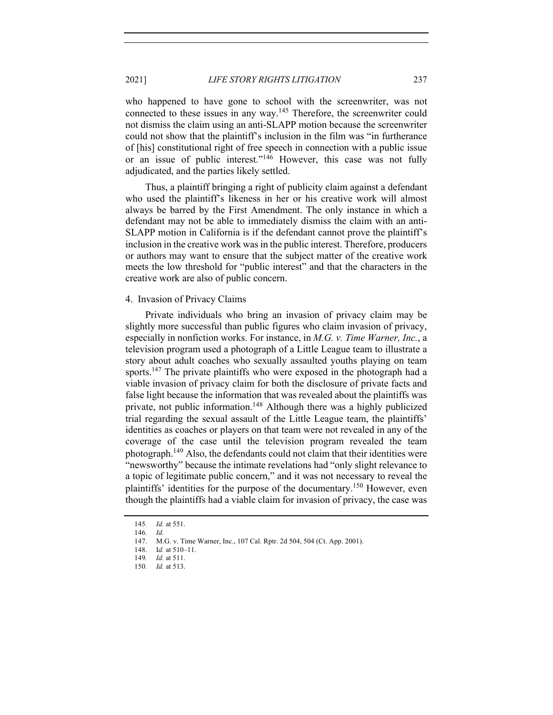2021] *LIFE STORY RIGHTS LITIGATION* 237

who happened to have gone to school with the screenwriter, was not connected to these issues in any way.<sup>145</sup> Therefore, the screenwriter could not dismiss the claim using an anti-SLAPP motion because the screenwriter could not show that the plaintiff's inclusion in the film was "in furtherance of [his] constitutional right of free speech in connection with a public issue or an issue of public interest."<sup>146</sup> However, this case was not fully adjudicated, and the parties likely settled.

Thus, a plaintiff bringing a right of publicity claim against a defendant who used the plaintiff's likeness in her or his creative work will almost always be barred by the First Amendment. The only instance in which a defendant may not be able to immediately dismiss the claim with an anti-SLAPP motion in California is if the defendant cannot prove the plaintiff's inclusion in the creative work was in the public interest. Therefore, producers or authors may want to ensure that the subject matter of the creative work meets the low threshold for "public interest" and that the characters in the creative work are also of public concern.

#### 4. Invasion of Privacy Claims

Private individuals who bring an invasion of privacy claim may be slightly more successful than public figures who claim invasion of privacy, especially in nonfiction works. For instance, in *M.G. v. Time Warner, Inc.*, a television program used a photograph of a Little League team to illustrate a story about adult coaches who sexually assaulted youths playing on team sports.<sup>147</sup> The private plaintiffs who were exposed in the photograph had a viable invasion of privacy claim for both the disclosure of private facts and false light because the information that was revealed about the plaintiffs was private, not public information.<sup>148</sup> Although there was a highly publicized trial regarding the sexual assault of the Little League team, the plaintiffs' identities as coaches or players on that team were not revealed in any of the coverage of the case until the television program revealed the team photograph.149 Also, the defendants could not claim that their identities were "newsworthy" because the intimate revelations had "only slight relevance to a topic of legitimate public concern," and it was not necessary to reveal the plaintiffs' identities for the purpose of the documentary.<sup>150</sup> However, even though the plaintiffs had a viable claim for invasion of privacy, the case was

<sup>145</sup>*. Id.* at 551.

<sup>146</sup>*. Id.*

<sup>147.</sup> M.G. v. Time Warner, Inc., 107 Cal. Rptr. 2d 504, 504 (Ct. App. 2001).

<sup>148.</sup> I*d.* at 510–11.

<sup>149</sup>*. Id.* at 511.

<sup>150</sup>*. Id.* at 513.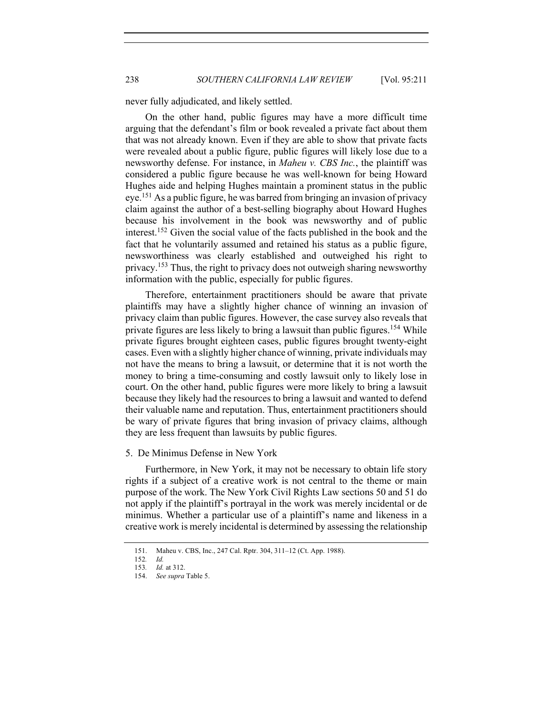never fully adjudicated, and likely settled.

On the other hand, public figures may have a more difficult time arguing that the defendant's film or book revealed a private fact about them that was not already known. Even if they are able to show that private facts were revealed about a public figure, public figures will likely lose due to a newsworthy defense. For instance, in *Maheu v. CBS Inc.*, the plaintiff was considered a public figure because he was well-known for being Howard Hughes aide and helping Hughes maintain a prominent status in the public eye.151 As a public figure, he was barred from bringing an invasion of privacy claim against the author of a best-selling biography about Howard Hughes because his involvement in the book was newsworthy and of public interest.152 Given the social value of the facts published in the book and the fact that he voluntarily assumed and retained his status as a public figure, newsworthiness was clearly established and outweighed his right to privacy.<sup>153</sup> Thus, the right to privacy does not outweigh sharing newsworthy information with the public, especially for public figures.

Therefore, entertainment practitioners should be aware that private plaintiffs may have a slightly higher chance of winning an invasion of privacy claim than public figures. However, the case survey also reveals that private figures are less likely to bring a lawsuit than public figures.<sup>154</sup> While private figures brought eighteen cases, public figures brought twenty-eight cases. Even with a slightly higher chance of winning, private individuals may not have the means to bring a lawsuit, or determine that it is not worth the money to bring a time-consuming and costly lawsuit only to likely lose in court. On the other hand, public figures were more likely to bring a lawsuit because they likely had the resources to bring a lawsuit and wanted to defend their valuable name and reputation. Thus, entertainment practitioners should be wary of private figures that bring invasion of privacy claims, although they are less frequent than lawsuits by public figures.

#### 5. De Minimus Defense in New York

Furthermore, in New York, it may not be necessary to obtain life story rights if a subject of a creative work is not central to the theme or main purpose of the work. The New York Civil Rights Law sections 50 and 51 do not apply if the plaintiff's portrayal in the work was merely incidental or de minimus. Whether a particular use of a plaintiff's name and likeness in a creative work is merely incidental is determined by assessing the relationship

<sup>151.</sup> Maheu v. CBS, Inc., 247 Cal. Rptr. 304, 311–12 (Ct. App. 1988).

<sup>152</sup>*. Id.*

<sup>153</sup>*. Id.* at 312.

<sup>154.</sup> *See supra* Table 5.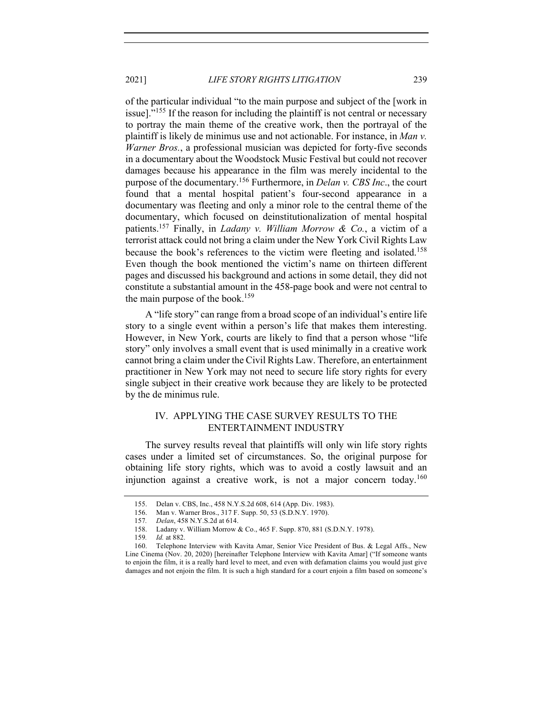2021] *LIFE STORY RIGHTS LITIGATION* 239

of the particular individual "to the main purpose and subject of the [work in issue]."<sup>155</sup> If the reason for including the plaintiff is not central or necessary to portray the main theme of the creative work, then the portrayal of the plaintiff is likely de minimus use and not actionable. For instance, in *Man v. Warner Bros.*, a professional musician was depicted for forty-five seconds in a documentary about the Woodstock Music Festival but could not recover damages because his appearance in the film was merely incidental to the purpose of the documentary.156 Furthermore, in *Delan v. CBS Inc*., the court found that a mental hospital patient's four-second appearance in a documentary was fleeting and only a minor role to the central theme of the documentary, which focused on deinstitutionalization of mental hospital patients.157 Finally, in *Ladany v. William Morrow & Co.*, a victim of a terrorist attack could not bring a claim under the New York Civil Rights Law because the book's references to the victim were fleeting and isolated.<sup>158</sup> Even though the book mentioned the victim's name on thirteen different pages and discussed his background and actions in some detail, they did not constitute a substantial amount in the 458-page book and were not central to the main purpose of the book.<sup>159</sup>

A "life story" can range from a broad scope of an individual's entire life story to a single event within a person's life that makes them interesting. However, in New York, courts are likely to find that a person whose "life story" only involves a small event that is used minimally in a creative work cannot bring a claim under the Civil Rights Law. Therefore, an entertainment practitioner in New York may not need to secure life story rights for every single subject in their creative work because they are likely to be protected by the de minimus rule.

# IV. APPLYING THE CASE SURVEY RESULTS TO THE ENTERTAINMENT INDUSTRY

The survey results reveal that plaintiffs will only win life story rights cases under a limited set of circumstances. So, the original purpose for obtaining life story rights, which was to avoid a costly lawsuit and an injunction against a creative work, is not a major concern today.<sup>160</sup>

<sup>155.</sup> Delan v. CBS, Inc., 458 N.Y.S.2d 608, 614 (App. Div. 1983).

<sup>156.</sup> Man v. Warner Bros., 317 F. Supp. 50, 53 (S.D.N.Y. 1970).

<sup>157</sup>*. Delan*, 458 N.Y.S.2d at 614.

<sup>158.</sup> Ladany v. William Morrow & Co., 465 F. Supp. 870, 881 (S.D.N.Y. 1978).

<sup>159</sup>*. Id.* at 882.

<sup>160.</sup> Telephone Interview with Kavita Amar, Senior Vice President of Bus. & Legal Affs., New Line Cinema (Nov. 20, 2020) [hereinafter Telephone Interview with Kavita Amar] ("If someone wants to enjoin the film, it is a really hard level to meet, and even with defamation claims you would just give damages and not enjoin the film. It is such a high standard for a court enjoin a film based on someone's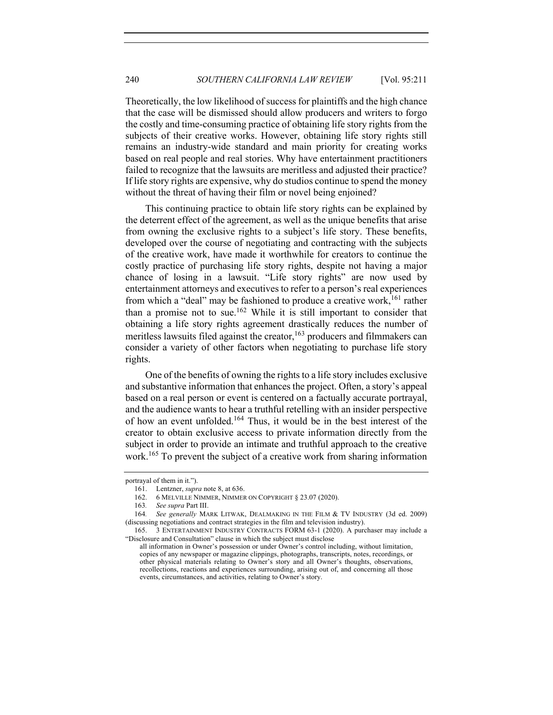Theoretically, the low likelihood of success for plaintiffs and the high chance that the case will be dismissed should allow producers and writers to forgo the costly and time-consuming practice of obtaining life story rights from the subjects of their creative works. However, obtaining life story rights still remains an industry-wide standard and main priority for creating works based on real people and real stories. Why have entertainment practitioners failed to recognize that the lawsuits are meritless and adjusted their practice? If life story rights are expensive, why do studios continue to spend the money without the threat of having their film or novel being enjoined?

This continuing practice to obtain life story rights can be explained by the deterrent effect of the agreement, as well as the unique benefits that arise from owning the exclusive rights to a subject's life story. These benefits, developed over the course of negotiating and contracting with the subjects of the creative work, have made it worthwhile for creators to continue the costly practice of purchasing life story rights, despite not having a major chance of losing in a lawsuit. "Life story rights" are now used by entertainment attorneys and executives to refer to a person's real experiences from which a "deal" may be fashioned to produce a creative work,<sup>161</sup> rather than a promise not to sue.<sup>162</sup> While it is still important to consider that obtaining a life story rights agreement drastically reduces the number of meritless lawsuits filed against the creator,  $163$  producers and filmmakers can consider a variety of other factors when negotiating to purchase life story rights.

One of the benefits of owning the rights to a life story includes exclusive and substantive information that enhances the project. Often, a story's appeal based on a real person or event is centered on a factually accurate portrayal, and the audience wants to hear a truthful retelling with an insider perspective of how an event unfolded.164 Thus, it would be in the best interest of the creator to obtain exclusive access to private information directly from the subject in order to provide an intimate and truthful approach to the creative work.<sup>165</sup> To prevent the subject of a creative work from sharing information

portrayal of them in it.").

<sup>161.</sup> Lentzner, *supra* note 8, at 636.

<sup>162.</sup> 6 MELVILLE NIMMER, NIMMER ON COPYRIGHT § 23.07 (2020).

<sup>163</sup>*. See supra* Part III.

<sup>164</sup>*. See generally* MARK LITWAK, DEALMAKING IN THE FILM & TV INDUSTRY (3d ed. 2009) (discussing negotiations and contract strategies in the film and television industry).

<sup>165.</sup> 3 ENTERTAINMENT INDUSTRY CONTRACTS FORM 63-1 (2020). A purchaser may include a "Disclosure and Consultation" clause in which the subject must disclose

all information in Owner's possession or under Owner's control including, without limitation, copies of any newspaper or magazine clippings, photographs, transcripts, notes, recordings, or other physical materials relating to Owner's story and all Owner's thoughts, observations, recollections, reactions and experiences surrounding, arising out of, and concerning all those events, circumstances, and activities, relating to Owner's story.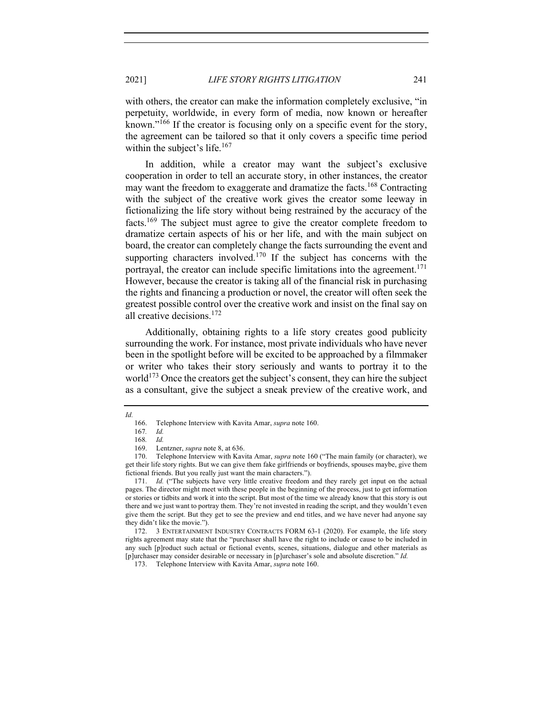with others, the creator can make the information completely exclusive, "in perpetuity, worldwide, in every form of media, now known or hereafter known."<sup>166</sup> If the creator is focusing only on a specific event for the story, the agreement can be tailored so that it only covers a specific time period within the subject's life. $167$ 

In addition, while a creator may want the subject's exclusive cooperation in order to tell an accurate story, in other instances, the creator may want the freedom to exaggerate and dramatize the facts.<sup>168</sup> Contracting with the subject of the creative work gives the creator some leeway in fictionalizing the life story without being restrained by the accuracy of the facts.<sup>169</sup> The subject must agree to give the creator complete freedom to dramatize certain aspects of his or her life, and with the main subject on board, the creator can completely change the facts surrounding the event and supporting characters involved.<sup>170</sup> If the subject has concerns with the portraval, the creator can include specific limitations into the agreement.<sup>171</sup> However, because the creator is taking all of the financial risk in purchasing the rights and financing a production or novel, the creator will often seek the greatest possible control over the creative work and insist on the final say on all creative decisions.<sup>172</sup>

Additionally, obtaining rights to a life story creates good publicity surrounding the work. For instance, most private individuals who have never been in the spotlight before will be excited to be approached by a filmmaker or writer who takes their story seriously and wants to portray it to the world<sup>173</sup> Once the creators get the subject's consent, they can hire the subject as a consultant, give the subject a sneak preview of the creative work, and

*Id.*

<sup>166.</sup> Telephone Interview with Kavita Amar, *supra* note 160.

<sup>167</sup>*. Id.*

<sup>168</sup>*. Id.*

<sup>169.</sup> Lentzner, *supra* note 8, at 636.

<sup>170.</sup> Telephone Interview with Kavita Amar, *supra* note 160 ("The main family (or character), we get their life story rights. But we can give them fake girlfriends or boyfriends, spouses maybe, give them fictional friends. But you really just want the main characters.").

<sup>171.</sup> *Id.* ("The subjects have very little creative freedom and they rarely get input on the actual pages. The director might meet with these people in the beginning of the process, just to get information or stories or tidbits and work it into the script. But most of the time we already know that this story is out there and we just want to portray them. They're not invested in reading the script, and they wouldn't even give them the script. But they get to see the preview and end titles, and we have never had anyone say they didn't like the movie.").

<sup>172.</sup> 3 ENTERTAINMENT INDUSTRY CONTRACTS FORM 63-1 (2020). For example, the life story rights agreement may state that the "purchaser shall have the right to include or cause to be included in any such [p]roduct such actual or fictional events, scenes, situations, dialogue and other materials as [p]urchaser may consider desirable or necessary in [p]urchaser's sole and absolute discretion." *Id.*

<sup>173.</sup> Telephone Interview with Kavita Amar, *supra* note 160.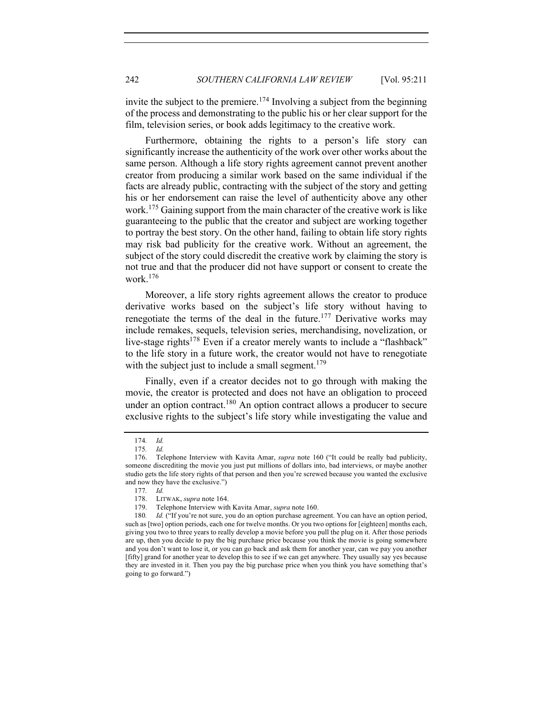invite the subject to the premiere.<sup>174</sup> Involving a subject from the beginning of the process and demonstrating to the public his or her clear support for the film, television series, or book adds legitimacy to the creative work.

Furthermore, obtaining the rights to a person's life story can significantly increase the authenticity of the work over other works about the same person. Although a life story rights agreement cannot prevent another creator from producing a similar work based on the same individual if the facts are already public, contracting with the subject of the story and getting his or her endorsement can raise the level of authenticity above any other work.<sup>175</sup> Gaining support from the main character of the creative work is like guaranteeing to the public that the creator and subject are working together to portray the best story. On the other hand, failing to obtain life story rights may risk bad publicity for the creative work. Without an agreement, the subject of the story could discredit the creative work by claiming the story is not true and that the producer did not have support or consent to create the work.<sup>176</sup>

Moreover, a life story rights agreement allows the creator to produce derivative works based on the subject's life story without having to renegotiate the terms of the deal in the future.<sup>177</sup> Derivative works may include remakes, sequels, television series, merchandising, novelization, or live-stage rights<sup>178</sup> Even if a creator merely wants to include a "flashback" to the life story in a future work, the creator would not have to renegotiate with the subject just to include a small segment.<sup>179</sup>

Finally, even if a creator decides not to go through with making the movie, the creator is protected and does not have an obligation to proceed under an option contract.<sup>180</sup> An option contract allows a producer to secure exclusive rights to the subject's life story while investigating the value and

<sup>174</sup>*. Id.*

<sup>175</sup>*. Id.*

<sup>176.</sup> Telephone Interview with Kavita Amar, *supra* note 160 ("It could be really bad publicity, someone discrediting the movie you just put millions of dollars into, bad interviews, or maybe another studio gets the life story rights of that person and then you're screwed because you wanted the exclusive and now they have the exclusive.")

<sup>177</sup>*. Id.*

LITWAK, *supra* note 164.

<sup>179.</sup> Telephone Interview with Kavita Amar, *supra* note 160.

<sup>180</sup>*. Id.* ("If you're not sure, you do an option purchase agreement. You can have an option period, such as [two] option periods, each one for twelve months. Or you two options for [eighteen] months each, giving you two to three years to really develop a movie before you pull the plug on it. After those periods are up, then you decide to pay the big purchase price because you think the movie is going somewhere and you don't want to lose it, or you can go back and ask them for another year, can we pay you another [fifty] grand for another year to develop this to see if we can get anywhere. They usually say yes because they are invested in it. Then you pay the big purchase price when you think you have something that's going to go forward.")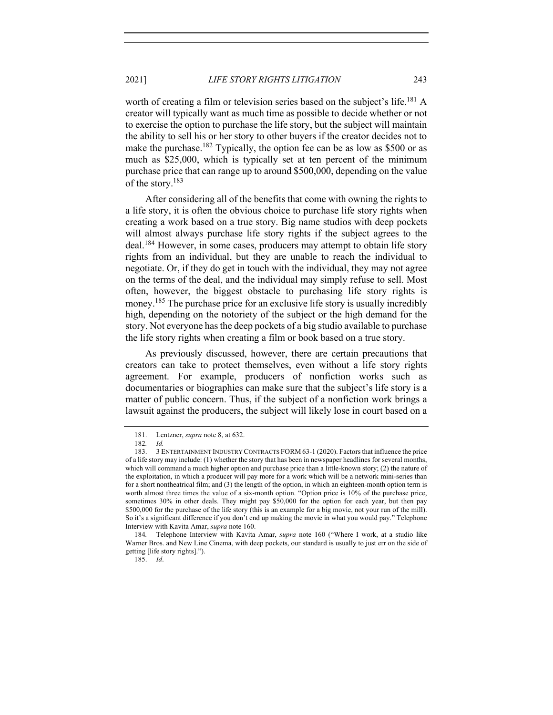worth of creating a film or television series based on the subject's life.<sup>181</sup> A creator will typically want as much time as possible to decide whether or not to exercise the option to purchase the life story, but the subject will maintain the ability to sell his or her story to other buyers if the creator decides not to make the purchase.<sup>182</sup> Typically, the option fee can be as low as \$500 or as much as \$25,000, which is typically set at ten percent of the minimum purchase price that can range up to around \$500,000, depending on the value of the story.<sup>183</sup>

After considering all of the benefits that come with owning the rights to a life story, it is often the obvious choice to purchase life story rights when creating a work based on a true story. Big name studios with deep pockets will almost always purchase life story rights if the subject agrees to the deal.<sup>184</sup> However, in some cases, producers may attempt to obtain life story rights from an individual, but they are unable to reach the individual to negotiate. Or, if they do get in touch with the individual, they may not agree on the terms of the deal, and the individual may simply refuse to sell. Most often, however, the biggest obstacle to purchasing life story rights is money.<sup>185</sup> The purchase price for an exclusive life story is usually incredibly high, depending on the notoriety of the subject or the high demand for the story. Not everyone has the deep pockets of a big studio available to purchase the life story rights when creating a film or book based on a true story.

As previously discussed, however, there are certain precautions that creators can take to protect themselves, even without a life story rights agreement. For example, producers of nonfiction works such as documentaries or biographies can make sure that the subject's life story is a matter of public concern. Thus, if the subject of a nonfiction work brings a lawsuit against the producers, the subject will likely lose in court based on a

<sup>181.</sup> Lentzner, *supra* note 8, at 632.

<sup>182</sup>*. Id.*

<sup>183.</sup> 3 ENTERTAINMENT INDUSTRY CONTRACTS FORM 63-1 (2020). Factors that influence the price of a life story may include: (1) whether the story that has been in newspaper headlines for several months, which will command a much higher option and purchase price than a little-known story; (2) the nature of the exploitation, in which a producer will pay more for a work which will be a network mini-series than for a short nontheatrical film; and (3) the length of the option, in which an eighteen-month option term is worth almost three times the value of a six-month option. "Option price is 10% of the purchase price, sometimes 30% in other deals. They might pay \$50,000 for the option for each year, but then pay \$500,000 for the purchase of the life story (this is an example for a big movie, not your run of the mill). So it's a significant difference if you don't end up making the movie in what you would pay." Telephone Interview with Kavita Amar, *supra* note 160.

<sup>184</sup>*.* Telephone Interview with Kavita Amar, *supra* note 160 ("Where I work, at a studio like Warner Bros. and New Line Cinema, with deep pockets, our standard is usually to just err on the side of getting [life story rights].").

<sup>185.</sup> *Id*.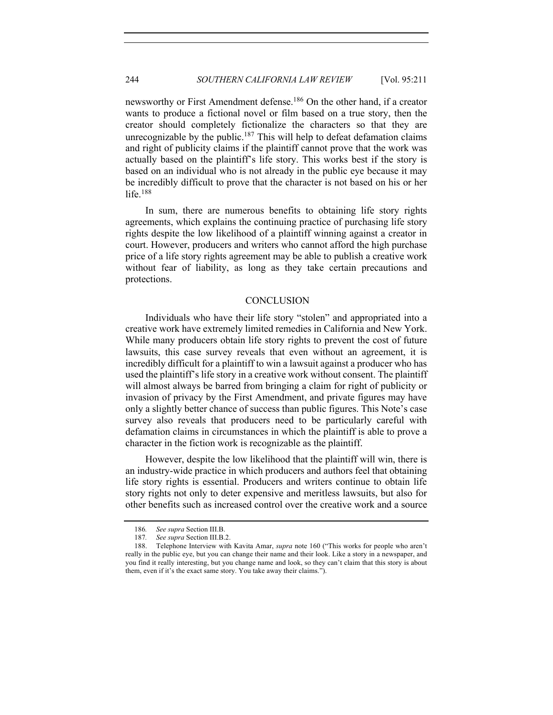newsworthy or First Amendment defense.<sup>186</sup> On the other hand, if a creator wants to produce a fictional novel or film based on a true story, then the creator should completely fictionalize the characters so that they are unrecognizable by the public.<sup>187</sup> This will help to defeat defamation claims and right of publicity claims if the plaintiff cannot prove that the work was actually based on the plaintiff's life story. This works best if the story is based on an individual who is not already in the public eye because it may be incredibly difficult to prove that the character is not based on his or her life. $188$ 

In sum, there are numerous benefits to obtaining life story rights agreements, which explains the continuing practice of purchasing life story rights despite the low likelihood of a plaintiff winning against a creator in court. However, producers and writers who cannot afford the high purchase price of a life story rights agreement may be able to publish a creative work without fear of liability, as long as they take certain precautions and protections.

# **CONCLUSION**

Individuals who have their life story "stolen" and appropriated into a creative work have extremely limited remedies in California and New York. While many producers obtain life story rights to prevent the cost of future lawsuits, this case survey reveals that even without an agreement, it is incredibly difficult for a plaintiff to win a lawsuit against a producer who has used the plaintiff's life story in a creative work without consent. The plaintiff will almost always be barred from bringing a claim for right of publicity or invasion of privacy by the First Amendment, and private figures may have only a slightly better chance of success than public figures. This Note's case survey also reveals that producers need to be particularly careful with defamation claims in circumstances in which the plaintiff is able to prove a character in the fiction work is recognizable as the plaintiff.

However, despite the low likelihood that the plaintiff will win, there is an industry-wide practice in which producers and authors feel that obtaining life story rights is essential. Producers and writers continue to obtain life story rights not only to deter expensive and meritless lawsuits, but also for other benefits such as increased control over the creative work and a source

<sup>186</sup>*. See supra* Section III.B.

<sup>187</sup>*. See supra* Section III.B.2.

<sup>188.</sup> Telephone Interview with Kavita Amar, *supra* note 160 ("This works for people who aren't really in the public eye, but you can change their name and their look. Like a story in a newspaper, and you find it really interesting, but you change name and look, so they can't claim that this story is about them, even if it's the exact same story. You take away their claims.").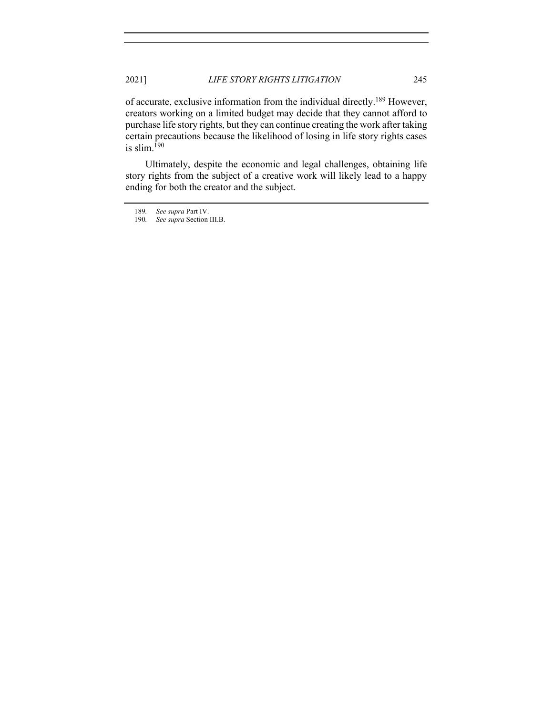of accurate, exclusive information from the individual directly.189 However, creators working on a limited budget may decide that they cannot afford to purchase life story rights, but they can continue creating the work after taking certain precautions because the likelihood of losing in life story rights cases is slim.<sup>190</sup>

Ultimately, despite the economic and legal challenges, obtaining life story rights from the subject of a creative work will likely lead to a happy ending for both the creator and the subject.

<sup>189</sup>*. See supra* Part IV.

<sup>190</sup>*. See supra* Section III.B.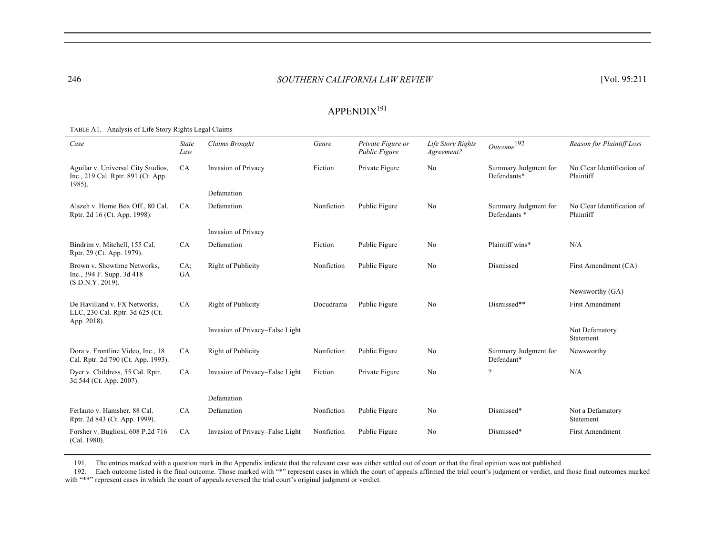#### 246 *SOUTHERN CALIFORNIA LAW REVIEW* [Vol. 95:211 246 [Vol. 95:211

# APPENDIX<sup>191</sup>

| Case                                                                               | <b>State</b><br>Law | Claims Brought                  | Genre      | Private Figure or<br>Public Figure | Life Story Rights<br>Agreement? | $\mathit{Outcome}^{192}$                        | Reason for Plaintiff Loss               |
|------------------------------------------------------------------------------------|---------------------|---------------------------------|------------|------------------------------------|---------------------------------|-------------------------------------------------|-----------------------------------------|
| Aguilar v. Universal City Studios,<br>Inc., 219 Cal. Rptr. 891 (Ct. App.<br>1985). | CA                  | Invasion of Privacy             | Fiction    | Private Figure                     | No                              | Summary Judgment for<br>Defendants*             | No Clear Identification of<br>Plaintiff |
|                                                                                    |                     | Defamation                      |            |                                    |                                 |                                                 |                                         |
| Alszeh v. Home Box Off., 80 Cal.<br>Rptr. 2d 16 (Ct. App. 1998).                   | <b>CA</b>           | Defamation                      | Nonfiction | Public Figure                      | No                              | Summary Judgment for<br>Defendants <sup>*</sup> | No Clear Identification of<br>Plaintiff |
|                                                                                    |                     | Invasion of Privacy             |            |                                    |                                 |                                                 |                                         |
| Bindrim v. Mitchell, 155 Cal.<br>Rptr. 29 (Ct. App. 1979).                         | CA                  | Defamation                      | Fiction    | Public Figure                      | No                              | Plaintiff wins*                                 | N/A                                     |
| Brown v. Showtime Networks,<br>Inc., 394 F. Supp. 3d 418<br>(S.D.N.Y. 2019).       | CA;<br>GA           | Right of Publicity              | Nonfiction | Public Figure                      | No                              | Dismissed                                       | First Amendment (CA)                    |
|                                                                                    |                     |                                 |            |                                    |                                 |                                                 | Newsworthy (GA)                         |
| De Havilland v. FX Networks.<br>LLC, 230 Cal. Rptr. 3d 625 (Ct.<br>App. 2018).     | CA                  | Right of Publicity              | Docudrama  | Public Figure                      | No                              | Dismissed**                                     | <b>First Amendment</b>                  |
|                                                                                    |                     | Invasion of Privacy-False Light |            |                                    |                                 |                                                 | Not Defamatory<br>Statement             |
| Dora v. Frontline Video, Inc., 18<br>Cal. Rptr. 2d 790 (Ct. App. 1993).            | CA                  | Right of Publicity              | Nonfiction | Public Figure                      | No                              | Summary Judgment for<br>Defendant*              | Newsworthy                              |
| Dyer v. Childress, 55 Cal. Rptr.<br>3d 544 (Ct. App. 2007).                        | CA                  | Invasion of Privacy–False Light | Fiction    | Private Figure                     | No                              | $\overline{\mathcal{L}}$                        | N/A                                     |
|                                                                                    |                     | Defamation                      |            |                                    |                                 |                                                 |                                         |
| Ferlauto v. Hamsher, 88 Cal.<br>Rptr. 2d 843 (Ct. App. 1999).                      | CA                  | Defamation                      | Nonfiction | Public Figure                      | No                              | Dismissed*                                      | Not a Defamatory<br>Statement           |
| Forsher v. Bugliosi, 608 P.2d 716<br>(Cal. 1980).                                  | <b>CA</b>           | Invasion of Privacy-False Light | Nonfiction | Public Figure                      | No                              | Dismissed*                                      | <b>First Amendment</b>                  |

#### TABLE A1. Analysis of Life Story Rights Legal Claims

191. The entries marked with a question mark in the Appendix indicate that the relevant case was either settled out of court or that the final opinion was not published.

192. Each outcome listed is the final outcome. Those marked with "\*" represent cases in which the court of appeals affirmed the trial court's judgment or verdict, and those final outcomes marked

with "\*\*" represent cases in which the court of appeals reversed the trial court's original judgment or verdict.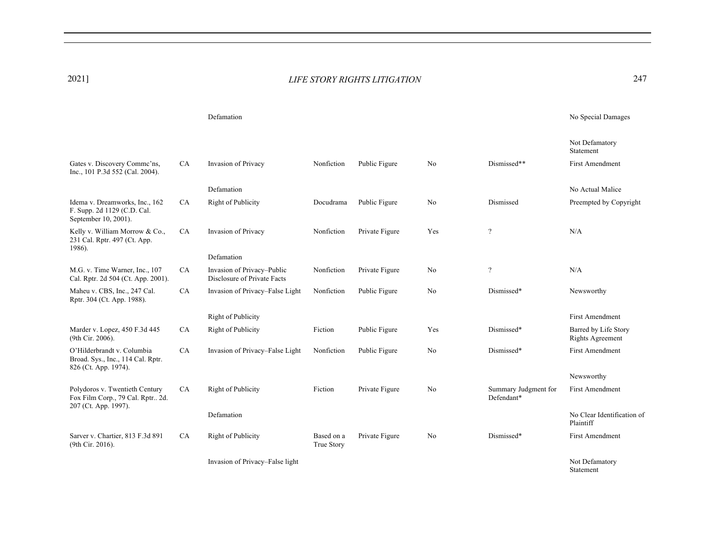1986).

Gates v. Discovery Commc'ns, Inc., 101 P.3d 552 (Cal. 2004).

Idema v. Dreamworks, Inc., 162 F. Supp. 2d 1129 (C.D. Cal. September 10, 2001).

Kelly v. William Morrow & Co., 231 Cal. Rptr. 497 (Ct. App.

M.G. v. Time Warner, Inc., 107 Cal. Rptr. 2d 504 (Ct. App. 2001).

Maheu v. CBS, Inc., 247 Cal. Rptr. 304 (Ct. App. 1988).

Marder v. Lopez, 450 F.3d 445

O'Hilderbrandt v. Columbia Broad. Sys., Inc., 114 Cal. Rptr. 826 (Ct. App. 1974).

Polydoros v. Twentieth Century Fox Film Corp., 79 Cal. Rptr.. 2d.

Sarver v. Chartier, 813 F.3d 891

207 (Ct. App. 1997).

(9th Cir. 2016).

(9th Cir. 2006).

#### 2021] *LIFE STORY RIGHTS LITIGATION* 247 2021] 247

Defamation No Special Damages Not Defamatory Statement CA Invasion of Privacy Defamation Nonfiction Public Figure No Dismissed\*\* First Amendment No Actual Malice CA Right of Publicity Docudrama Public Figure No Dismissed Preempted by Copyright CA Invasion of Privacy Defamation Nonfiction Private Figure Yes ? N/A CA Invasion of Privacy–Public Disclosure of Private Facts Nonfiction Private Figure No ? N/A CA Invasion of Privacy–False Light Right of Publicity Nonfiction Public Figure No Dismissed\* Newsworthy First Amendment

CA Right of Publicity Fiction Public Figure Yes Dismissed\* Barred by Life Story

Fiction Private Figure No Summary Judgment for

Defendant\*

CA Invasion of Privacy–False Light Nonfiction Public Figure No Dismissed\* First Amendment

CA Right of Publicity

CA Right of Publicity

Defamation

Invasion of Privacy–False light

Based on a True Story

Private Figure No Dismissed\* First Amendment

No Clear Identification of

Rights Agreement

Newsworthy

First Amendment

Not Defamatory Statement

Plaintiff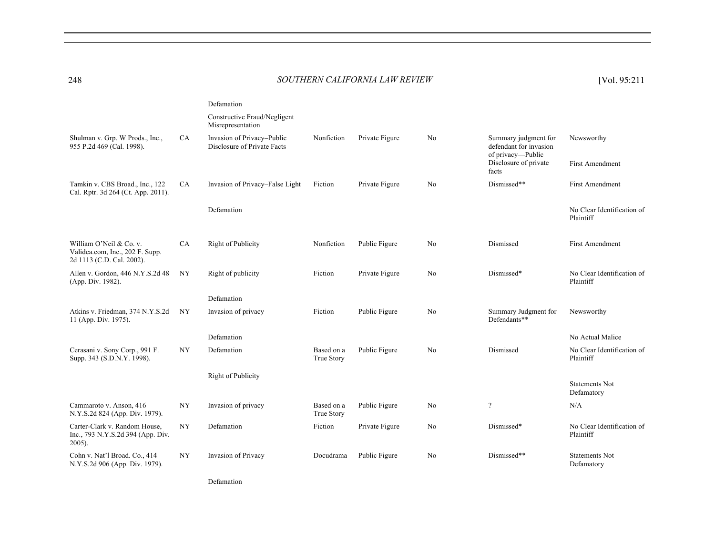### 248 *SOUTHERN CALIFORNIA LAW REVIEW* [Vol. 95:211 248 [Vol. 95:211

|                                                                                         |           | Defamation                                                |                          |                |                |                                                                                                       |                                         |
|-----------------------------------------------------------------------------------------|-----------|-----------------------------------------------------------|--------------------------|----------------|----------------|-------------------------------------------------------------------------------------------------------|-----------------------------------------|
|                                                                                         |           | Constructive Fraud/Negligent<br>Misrepresentation         |                          |                |                |                                                                                                       |                                         |
| Shulman v. Grp. W Prods., Inc.,<br>955 P.2d 469 (Cal. 1998).                            | <b>CA</b> | Invasion of Privacy-Public<br>Disclosure of Private Facts | Nonfiction               | Private Figure | No             | Summary judgment for<br>defendant for invasion<br>of privacy-Public<br>Disclosure of private<br>facts | Newsworthy<br><b>First Amendment</b>    |
| Tamkin v. CBS Broad., Inc., 122<br>Cal. Rptr. 3d 264 (Ct. App. 2011).                   | CA        | Invasion of Privacy–False Light                           | Fiction                  | Private Figure | N <sub>o</sub> | Dismissed**                                                                                           | <b>First Amendment</b>                  |
|                                                                                         |           | Defamation                                                |                          |                |                |                                                                                                       | No Clear Identification of<br>Plaintiff |
| William O'Neil & Co. v.<br>Validea.com, Inc., 202 F. Supp.<br>2d 1113 (C.D. Cal. 2002). | CA        | Right of Publicity                                        | Nonfiction               | Public Figure  | No             | Dismissed                                                                                             | <b>First Amendment</b>                  |
| Allen v. Gordon, 446 N.Y.S.2d 48<br>(App. Div. 1982).                                   | NY        | Right of publicity                                        | Fiction                  | Private Figure | N <sub>o</sub> | Dismissed*                                                                                            | No Clear Identification of<br>Plaintiff |
|                                                                                         |           | Defamation                                                |                          |                |                |                                                                                                       |                                         |
| Atkins v. Friedman, 374 N.Y.S.2d<br>11 (App. Div. 1975).                                | NY        | Invasion of privacy                                       | Fiction                  | Public Figure  | No             | Summary Judgment for<br>Defendants**                                                                  | Newsworthy                              |
|                                                                                         |           | Defamation                                                |                          |                |                |                                                                                                       | No Actual Malice                        |
| Cerasani v. Sony Corp., 991 F.<br>Supp. 343 (S.D.N.Y. 1998).                            | NY        | Defamation                                                | Based on a<br>True Story | Public Figure  | N <sub>o</sub> | Dismissed                                                                                             | No Clear Identification of<br>Plaintiff |
|                                                                                         |           | Right of Publicity                                        |                          |                |                |                                                                                                       |                                         |
|                                                                                         |           |                                                           |                          |                |                |                                                                                                       | <b>Statements Not</b><br>Defamatory     |
| Cammaroto v. Anson, 416<br>N.Y.S.2d 824 (App. Div. 1979).                               | NY        | Invasion of privacy                                       | Based on a<br>True Story | Public Figure  | No             | $\overline{\cdot}$                                                                                    | N/A                                     |
| Carter-Clark v. Random House,<br>Inc., 793 N.Y.S.2d 394 (App. Div.<br>$2005$ ).         | NY        | Defamation                                                | Fiction                  | Private Figure | N <sub>o</sub> | Dismissed*                                                                                            | No Clear Identification of<br>Plaintiff |
| Cohn v. Nat'l Broad. Co., 414<br>N.Y.S.2d 906 (App. Div. 1979).                         | NY        | Invasion of Privacy                                       | Docudrama                | Public Figure  | No             | Dismissed**                                                                                           | <b>Statements Not</b><br>Defamatory     |

Defamation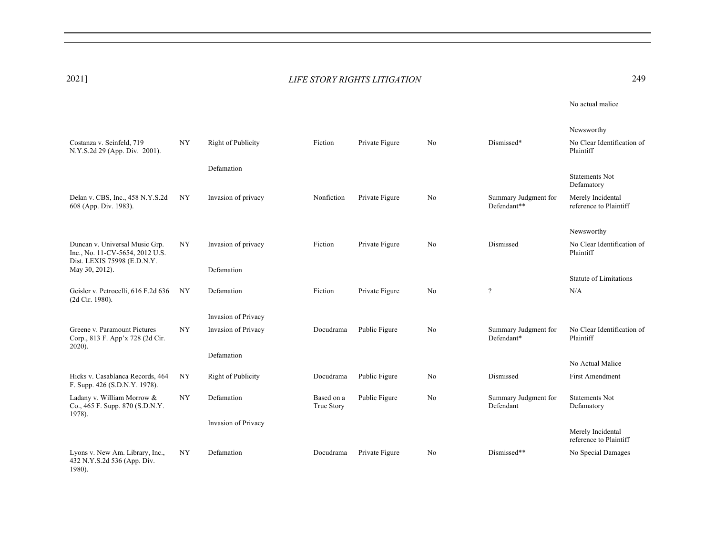| 2021]                                                                    |                  |                     | LIFE STORY RIGHTS LITIGATION |                | 249            |                                     |                                             |
|--------------------------------------------------------------------------|------------------|---------------------|------------------------------|----------------|----------------|-------------------------------------|---------------------------------------------|
|                                                                          |                  |                     |                              |                |                |                                     | No actual malice                            |
|                                                                          |                  |                     |                              |                |                |                                     | Newsworthy                                  |
| Costanza v. Seinfeld, 719<br>N.Y.S.2d 29 (App. Div. 2001).               | <b>NY</b>        | Right of Publicity  | Fiction                      | Private Figure | N <sub>o</sub> | Dismissed*                          | No Clear Identification of<br>Plaintiff     |
|                                                                          |                  | Defamation          |                              |                |                |                                     |                                             |
|                                                                          |                  |                     |                              |                |                |                                     | <b>Statements Not</b><br>Defamatory         |
| Delan v. CBS, Inc., 458 N.Y.S.2d<br>608 (App. Div. 1983).                | NY               | Invasion of privacy | Nonfiction                   | Private Figure | No             | Summary Judgment for<br>Defendant** | Merely Incidental<br>reference to Plaintiff |
|                                                                          |                  |                     |                              |                |                |                                     | Newsworthy                                  |
| Duncan v. Universal Music Grp.<br>Inc., No. 11-CV-5654, 2012 U.S.        | NY               | Invasion of privacy | Fiction                      | Private Figure | No             | Dismissed                           | No Clear Identification of<br>Plaintiff     |
| Dist. LEXIS 75998 (E.D.N.Y.<br>May 30, 2012).                            |                  | Defamation          |                              |                |                |                                     |                                             |
|                                                                          |                  |                     |                              |                |                |                                     | <b>Statute of Limitations</b>               |
| Geisler v. Petrocelli, 616 F.2d 636<br>(2d Cir. 1980).                   | NY               | Defamation          | Fiction                      | Private Figure | No             | $\overline{\cdot}$                  | N/A                                         |
|                                                                          |                  | Invasion of Privacy |                              |                |                |                                     |                                             |
| Greene v. Paramount Pictures<br>Corp., 813 F. App'x 728 (2d Cir.         | ${\rm NY}$       | Invasion of Privacy | Docudrama                    | Public Figure  | No             | Summary Judgment for<br>Defendant*  | No Clear Identification of<br>Plaintiff     |
| $2020$ ).                                                                |                  | Defamation          |                              |                |                |                                     |                                             |
|                                                                          |                  |                     |                              |                |                |                                     | No Actual Malice                            |
| Hicks v. Casablanca Records, 464<br>F. Supp. 426 (S.D.N.Y. 1978).        | NY               | Right of Publicity  | Docudrama                    | Public Figure  | No             | Dismissed                           | First Amendment                             |
| Ladany v. William Morrow &<br>Co., 465 F. Supp. 870 (S.D.N.Y.<br>1978).  | $_{\mathrm{NY}}$ | Defamation          | Based on a<br>True Story     | Public Figure  | No             | Summary Judgment for<br>Defendant   | <b>Statements Not</b><br>Defamatory         |
|                                                                          |                  | Invasion of Privacy |                              |                |                |                                     |                                             |
|                                                                          |                  |                     |                              |                |                |                                     | Merely Incidental<br>reference to Plaintiff |
| Lyons v. New Am. Library, Inc.,<br>432 N.Y.S.2d 536 (App. Div.<br>1980). | NY               | Defamation          | Docudrama                    | Private Figure | No             | Dismissed**                         | No Special Damages                          |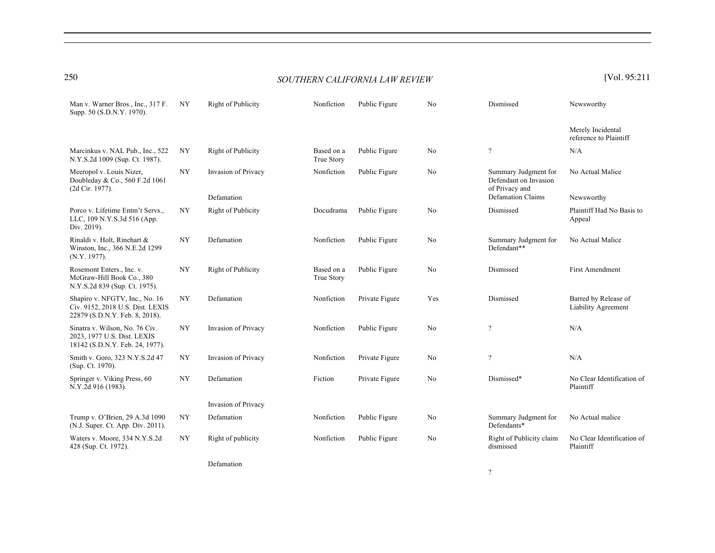| Man v. Warner Bros., Inc., 317 F.<br>Supp. 50 (S.D.N.Y. 1970).                                       | NY        | Right of Publicity  | Nonfiction               | Public Figure  | No  | Dismissed                                                       | Newsworthy                                  |
|------------------------------------------------------------------------------------------------------|-----------|---------------------|--------------------------|----------------|-----|-----------------------------------------------------------------|---------------------------------------------|
|                                                                                                      |           |                     |                          |                |     |                                                                 | Merely Incidental<br>reference to Plaintiff |
| Marcinkus v. NAL Pub., Inc., 522<br>N.Y.S.2d 1009 (Sup. Ct. 1987).                                   | NY        | Right of Publicity  | Based on a<br>True Story | Public Figure  | No  | $\overline{\mathcal{L}}$                                        | N/A                                         |
| Meeropol v. Louis Nizer,<br>Doubleday & Co., 560 F.2d 1061<br>(2d Cir. 1977).                        | NY        | Invasion of Privacy | Nonfiction               | Public Figure  | No  | Summary Judgment for<br>Defendant on Invasion<br>of Privacy and | No Actual Malice                            |
|                                                                                                      |           | Defamation          |                          |                |     | Defamation Claims                                               | Newsworthy                                  |
| Porco v. Lifetime Entm't Servs.,<br>LLC, 109 N.Y.S.3d 516 (App.<br>Div. 2019).                       | NY        | Right of Publicity  | Docudrama                | Public Figure  | No  | Dismissed                                                       | Plaintiff Had No Basis to<br>Appeal         |
| Rinaldi v. Holt, Rinehart &<br>Winston, Inc., 366 N.E.2d 1299<br>(N.Y. 1977).                        | NY        | Defamation          | Nonfiction               | Public Figure  | No  | Summary Judgment for<br>Defendant**                             | No Actual Malice                            |
| Rosemont Enters., Inc. v.<br>McGraw-Hill Book Co., 380<br>N.Y.S.2d 839 (Sup. Ct. 1975).              | NY        | Right of Publicity  | Based on a<br>True Story | Public Figure  | No  | Dismissed                                                       | <b>First Amendment</b>                      |
| Shapiro v. NFGTV, Inc., No. 16<br>Civ. 9152, 2018 U.S. Dist. LEXIS<br>22879 (S.D.N.Y. Feb. 8, 2018). | <b>NY</b> | Defamation          | Nonfiction               | Private Figure | Yes | Dismissed                                                       | Barred by Release of<br>Liability Agreement |
| Sinatra v. Wilson, No. 76 Civ.<br>2023, 1977 U.S. Dist. LEXIS<br>18142 (S.D.N.Y. Feb. 24, 1977).     | NY        | Invasion of Privacy | Nonfiction               | Public Figure  | No  | $\gamma$                                                        | N/A                                         |
| Smith v. Goro, 323 N.Y.S.2d 47<br>(Sup. Ct. 1970).                                                   | NY        | Invasion of Privacy | Nonfiction               | Private Figure | No  | $\overline{\mathcal{L}}$                                        | N/A                                         |
| Springer v. Viking Press, 60<br>N.Y.2d 916 (1983).                                                   | NY        | Defamation          | Fiction                  | Private Figure | No  | Dismissed*                                                      | No Clear Identification of<br>Plaintiff     |
|                                                                                                      |           | Invasion of Privacy |                          |                |     |                                                                 |                                             |
| Trump v. O'Brien, 29 A.3d 1090<br>(N.J. Super. Ct. App. Div. 2011).                                  | NY        | Defamation          | Nonfiction               | Public Figure  | No  | Summary Judgment for<br>Defendants*                             | No Actual malice                            |
| Waters v. Moore, 334 N.Y.S.2d<br>428 (Sup. Ct. 1972).                                                | NY        | Right of publicity  | Nonfiction               | Public Figure  | No  | Right of Publicity claim<br>dismissed                           | No Clear Identification of<br>Plaintiff     |
|                                                                                                      |           |                     |                          |                |     |                                                                 |                                             |

Defamation

?

# 250 *SOUTHERN CALIFORNIA LAW REVIEW* [Vol. 95:211 250 [Vol. 95:211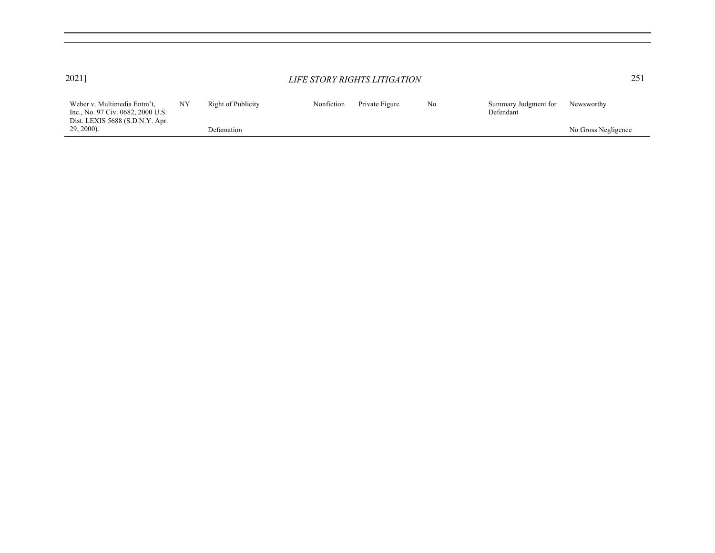| 2021]                                                                                                                |    | LIFE STORY RIGHTS LITIGATION |            |                |    | 251                               |                     |
|----------------------------------------------------------------------------------------------------------------------|----|------------------------------|------------|----------------|----|-----------------------------------|---------------------|
| Weber v. Multimedia Entm't,<br>Inc., No. 97 Civ. 0682, 2000 U.S.<br>Dist. LEXIS 5688 (S.D.N.Y. Apr.<br>$29, 2000$ ). | NY | Right of Publicity           | Nonfiction | Private Figure | No | Summary Judgment for<br>Defendant | Newsworthy          |
|                                                                                                                      |    | Defamation                   |            |                |    |                                   | No Gross Negligence |